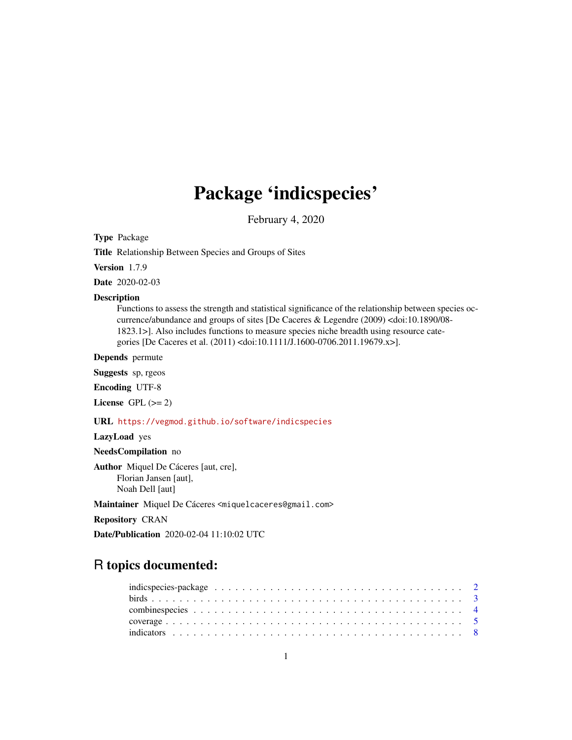# Package 'indicspecies'

February 4, 2020

<span id="page-0-0"></span>Type Package

Title Relationship Between Species and Groups of Sites

Version 1.7.9

Date 2020-02-03

# Description

Functions to assess the strength and statistical significance of the relationship between species occurrence/abundance and groups of sites [De Caceres & Legendre (2009) <doi:10.1890/08- 1823.1>]. Also includes functions to measure species niche breadth using resource categories [De Caceres et al. (2011) <doi:10.1111/J.1600-0706.2011.19679.x>].

Depends permute

Suggests sp, rgeos

Encoding UTF-8

License GPL  $(>= 2)$ 

URL <https://vegmod.github.io/software/indicspecies>

LazyLoad yes

NeedsCompilation no

Author Miquel De Cáceres [aut, cre], Florian Jansen [aut], Noah Dell [aut]

Maintainer Miquel De Cáceres <miquelcaceres@gmail.com>

Repository CRAN

Date/Publication 2020-02-04 11:10:02 UTC

# R topics documented: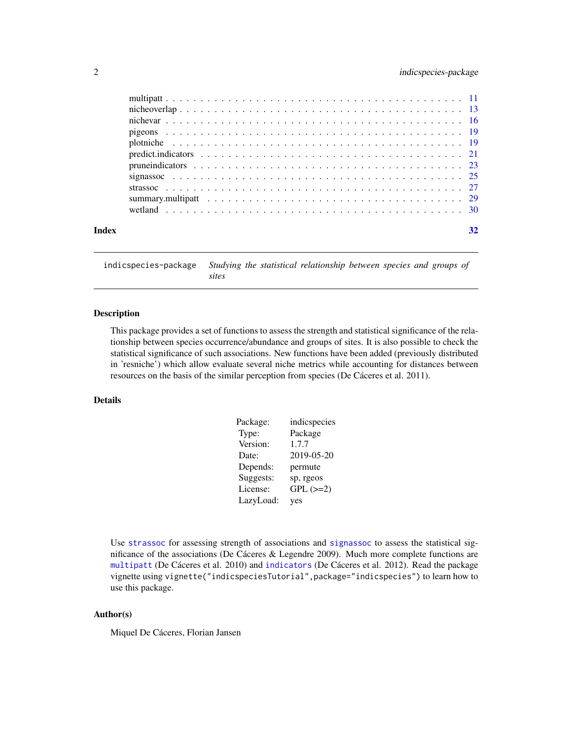# <span id="page-1-0"></span>2 indicspecies-package

| Index | 32 |
|-------|----|
|       |    |
|       |    |
|       |    |
|       |    |
|       |    |
|       |    |
|       |    |
|       |    |
|       |    |
|       |    |
|       |    |

indicspecies-package *Studying the statistical relationship between species and groups of sites*

# Description

This package provides a set of functions to assess the strength and statistical significance of the relationship between species occurrence/abundance and groups of sites. It is also possible to check the statistical significance of such associations. New functions have been added (previously distributed in 'resniche') which allow evaluate several niche metrics while accounting for distances between resources on the basis of the similar perception from species (De Cáceres et al. 2011).

# Details

| Package:  | indicspecies  |
|-----------|---------------|
| Type:     | Package       |
| Version:  | 1.7.7         |
| Date:     | 2019-05-20    |
| Depends:  | permute       |
| Suggests: | sp, rgeos     |
| License:  | $GPL$ $(>=2)$ |
| LazyLoad: | yes           |

Use [strassoc](#page-26-1) for assessing strength of associations and [signassoc](#page-24-1) to assess the statistical significance of the associations (De Cáceres & Legendre 2009). Much more complete functions are [multipatt](#page-10-1) (De Cáceres et al. 2010) and [indicators](#page-7-1) (De Cáceres et al. 2012). Read the package vignette using vignette("indicspeciesTutorial",package="indicspecies") to learn how to use this package.

# Author(s)

Miquel De Cáceres, Florian Jansen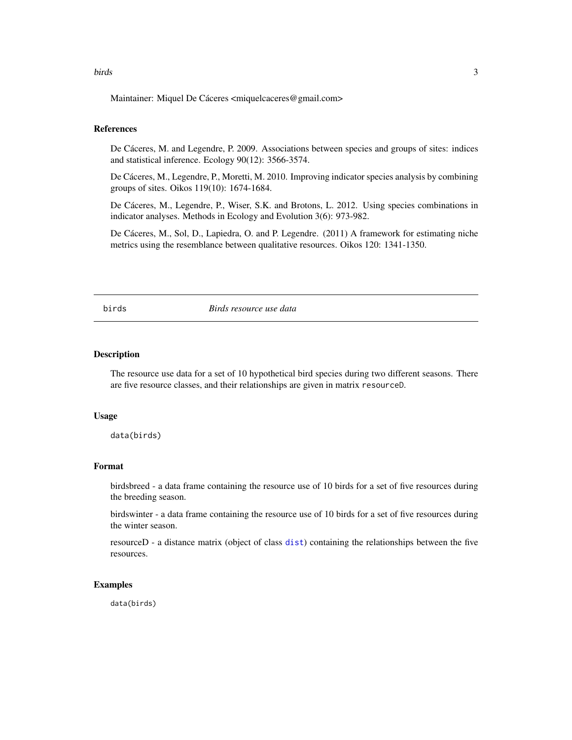#### <span id="page-2-0"></span>birds 3

Maintainer: Miquel De Cáceres <miquelcaceres@gmail.com>

# References

De Cáceres, M. and Legendre, P. 2009. Associations between species and groups of sites: indices and statistical inference. Ecology 90(12): 3566-3574.

De Cáceres, M., Legendre, P., Moretti, M. 2010. Improving indicator species analysis by combining groups of sites. Oikos 119(10): 1674-1684.

De Cáceres, M., Legendre, P., Wiser, S.K. and Brotons, L. 2012. Using species combinations in indicator analyses. Methods in Ecology and Evolution 3(6): 973-982.

De Cáceres, M., Sol, D., Lapiedra, O. and P. Legendre. (2011) A framework for estimating niche metrics using the resemblance between qualitative resources. Oikos 120: 1341-1350.

birds *Birds resource use data*

# Description

The resource use data for a set of 10 hypothetical bird species during two different seasons. There are five resource classes, and their relationships are given in matrix resourceD.

#### Usage

data(birds)

# Format

birdsbreed - a data frame containing the resource use of 10 birds for a set of five resources during the breeding season.

birdswinter - a data frame containing the resource use of 10 birds for a set of five resources during the winter season.

resourceD - a distance matrix (object of class [dist](#page-0-0)) containing the relationships between the five resources.

# Examples

data(birds)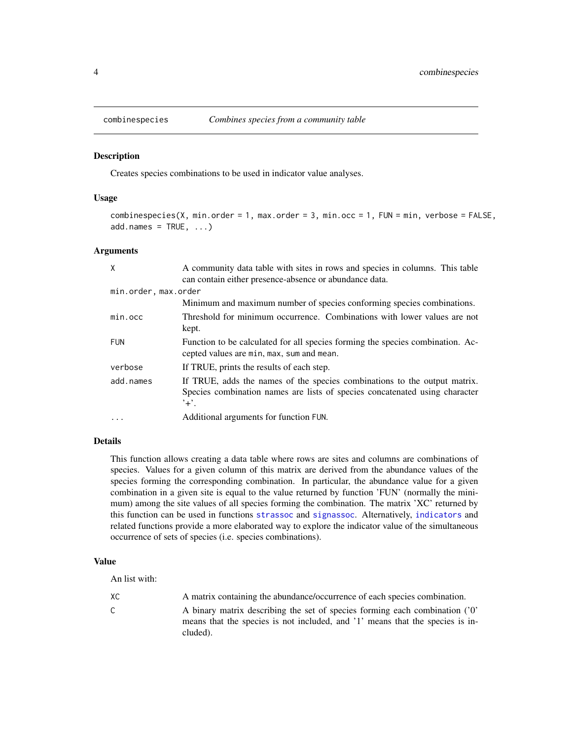<span id="page-3-0"></span>

#### Description

Creates species combinations to be used in indicator value analyses.

### Usage

```
combinespecies(X, min.order = 1, max.order = 3, min.occ = 1, FUN = min, verbose = FALSE,add.names = TRUE, ...)
```
#### Arguments

| X                    | A community data table with sites in rows and species in columns. This table<br>can contain either presence-absence or abundance data.                                                  |
|----------------------|-----------------------------------------------------------------------------------------------------------------------------------------------------------------------------------------|
| min.order, max.order |                                                                                                                                                                                         |
|                      | Minimum and maximum number of species conforming species combinations.                                                                                                                  |
| $min.$ occ           | Threshold for minimum occurrence. Combinations with lower values are not<br>kept.                                                                                                       |
| <b>FUN</b>           | Function to be calculated for all species forming the species combination. Ac-<br>cepted values are min, max, sum and mean.                                                             |
| verbose              | If TRUE, prints the results of each step.                                                                                                                                               |
| add.names            | If TRUE, adds the names of the species combinations to the output matrix.<br>Species combination names are lists of species concatenated using character<br>$^{\prime}$ + $^{\prime}$ . |
|                      | Additional arguments for function FUN.                                                                                                                                                  |

# Details

This function allows creating a data table where rows are sites and columns are combinations of species. Values for a given column of this matrix are derived from the abundance values of the species forming the corresponding combination. In particular, the abundance value for a given combination in a given site is equal to the value returned by function 'FUN' (normally the minimum) among the site values of all species forming the combination. The matrix 'XC' returned by this function can be used in functions [strassoc](#page-26-1) and [signassoc](#page-24-1). Alternatively, [indicators](#page-7-1) and related functions provide a more elaborated way to explore the indicator value of the simultaneous occurrence of sets of species (i.e. species combinations).

# Value

An list with:

cluded).

| XС          | A matrix containing the abundance/occurrence of each species combination.     |
|-------------|-------------------------------------------------------------------------------|
| $\sim$<br>U | A binary matrix describing the set of species forming each combination ('0'   |
|             | means that the species is not included, and '1' means that the species is in- |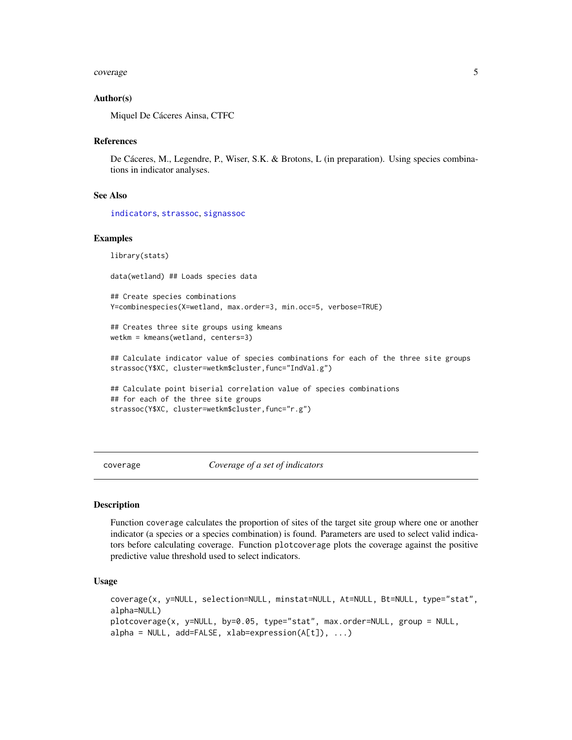#### <span id="page-4-0"></span>coverage 5 and 5 and 5 and 5 and 5 and 5 and 5 and 5 and 5 and 5 and 5 and 5 and 5 and 5 and 5 and 5 and 5 and 5 and 5 and 5 and 5 and 5 and 5 and 5 and 5 and 5 and 5 and 5 and 5 and 5 and 5 and 5 and 5 and 5 and 5 and 5 a

#### Author(s)

Miquel De Cáceres Ainsa, CTFC

#### References

De Cáceres, M., Legendre, P., Wiser, S.K. & Brotons, L (in preparation). Using species combinations in indicator analyses.

# See Also

[indicators](#page-7-1), [strassoc](#page-26-1), [signassoc](#page-24-1)

# Examples

library(stats)

data(wetland) ## Loads species data

## Create species combinations Y=combinespecies(X=wetland, max.order=3, min.occ=5, verbose=TRUE)

## Creates three site groups using kmeans wetkm = kmeans(wetland, centers=3)

## Calculate indicator value of species combinations for each of the three site groups strassoc(Y\$XC, cluster=wetkm\$cluster,func="IndVal.g")

## Calculate point biserial correlation value of species combinations ## for each of the three site groups strassoc(Y\$XC, cluster=wetkm\$cluster,func="r.g")

<span id="page-4-1"></span>coverage *Coverage of a set of indicators*

#### **Description**

Function coverage calculates the proportion of sites of the target site group where one or another indicator (a species or a species combination) is found. Parameters are used to select valid indicators before calculating coverage. Function plotcoverage plots the coverage against the positive predictive value threshold used to select indicators.

#### Usage

```
coverage(x, y=NULL, selection=NULL, minstat=NULL, At=NULL, Bt=NULL, type="stat",
alpha=NULL)
plotcoverage(x, y=NULL, by=0.05, type="stat", max.order=NULL, group = NULL,
alpha = NULL, add=FALSE, xlab=expression(A[t]), ...)
```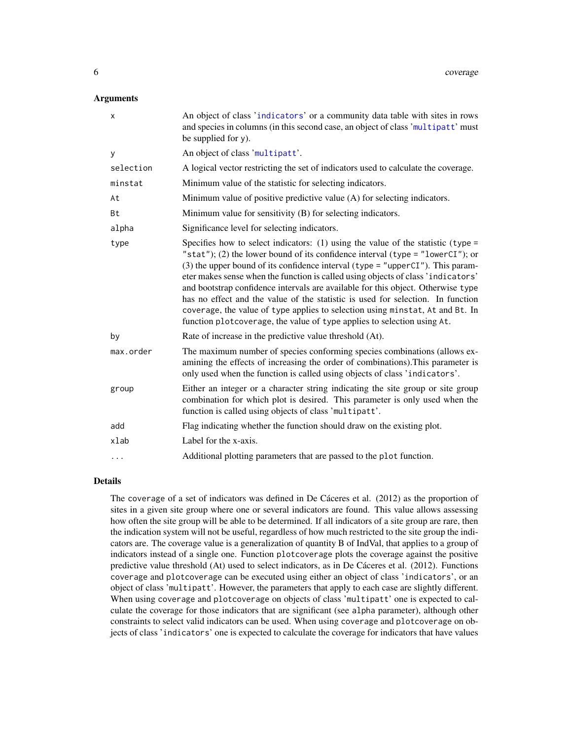#### <span id="page-5-0"></span>**Arguments**

| x         | An object of class 'indicators' or a community data table with sites in rows<br>and species in columns (in this second case, an object of class 'multipatt' must<br>be supplied for y).                                                                                                                                                                                                                                                                                                                                                                                                                                                                                     |
|-----------|-----------------------------------------------------------------------------------------------------------------------------------------------------------------------------------------------------------------------------------------------------------------------------------------------------------------------------------------------------------------------------------------------------------------------------------------------------------------------------------------------------------------------------------------------------------------------------------------------------------------------------------------------------------------------------|
| У         | An object of class 'multipatt'.                                                                                                                                                                                                                                                                                                                                                                                                                                                                                                                                                                                                                                             |
| selection | A logical vector restricting the set of indicators used to calculate the coverage.                                                                                                                                                                                                                                                                                                                                                                                                                                                                                                                                                                                          |
| minstat   | Minimum value of the statistic for selecting indicators.                                                                                                                                                                                                                                                                                                                                                                                                                                                                                                                                                                                                                    |
| At        | Minimum value of positive predictive value (A) for selecting indicators.                                                                                                                                                                                                                                                                                                                                                                                                                                                                                                                                                                                                    |
| Bt        | Minimum value for sensitivity (B) for selecting indicators.                                                                                                                                                                                                                                                                                                                                                                                                                                                                                                                                                                                                                 |
| alpha     | Significance level for selecting indicators.                                                                                                                                                                                                                                                                                                                                                                                                                                                                                                                                                                                                                                |
| type      | Specifies how to select indicators: (1) using the value of the statistic (type =<br>"stat"); (2) the lower bound of its confidence interval (type = "lowerCI"); or<br>(3) the upper bound of its confidence interval (type = "upperCI"). This param-<br>eter makes sense when the function is called using objects of class 'indicators'<br>and bootstrap confidence intervals are available for this object. Otherwise type<br>has no effect and the value of the statistic is used for selection. In function<br>coverage, the value of type applies to selection using minstat, At and Bt. In<br>function plotcoverage, the value of type applies to selection using At. |
| by        | Rate of increase in the predictive value threshold (At).                                                                                                                                                                                                                                                                                                                                                                                                                                                                                                                                                                                                                    |
| max.order | The maximum number of species conforming species combinations (allows ex-<br>amining the effects of increasing the order of combinations). This parameter is<br>only used when the function is called using objects of class 'indicators'.                                                                                                                                                                                                                                                                                                                                                                                                                                  |
| group     | Either an integer or a character string indicating the site group or site group<br>combination for which plot is desired. This parameter is only used when the<br>function is called using objects of class 'multipatt'.                                                                                                                                                                                                                                                                                                                                                                                                                                                    |
| add       | Flag indicating whether the function should draw on the existing plot.                                                                                                                                                                                                                                                                                                                                                                                                                                                                                                                                                                                                      |
| xlab      | Label for the x-axis.                                                                                                                                                                                                                                                                                                                                                                                                                                                                                                                                                                                                                                                       |
| .         | Additional plotting parameters that are passed to the plot function.                                                                                                                                                                                                                                                                                                                                                                                                                                                                                                                                                                                                        |

### Details

The coverage of a set of indicators was defined in De Cáceres et al. (2012) as the proportion of sites in a given site group where one or several indicators are found. This value allows assessing how often the site group will be able to be determined. If all indicators of a site group are rare, then the indication system will not be useful, regardless of how much restricted to the site group the indicators are. The coverage value is a generalization of quantity B of IndVal, that applies to a group of indicators instead of a single one. Function plotcoverage plots the coverage against the positive predictive value threshold (At) used to select indicators, as in De Cáceres et al. (2012). Functions coverage and plotcoverage can be executed using either an object of class 'indicators', or an object of class 'multipatt'. However, the parameters that apply to each case are slightly different. When using coverage and plotcoverage on objects of class 'multipatt' one is expected to calculate the coverage for those indicators that are significant (see alpha parameter), although other constraints to select valid indicators can be used. When using coverage and plotcoverage on objects of class 'indicators' one is expected to calculate the coverage for indicators that have values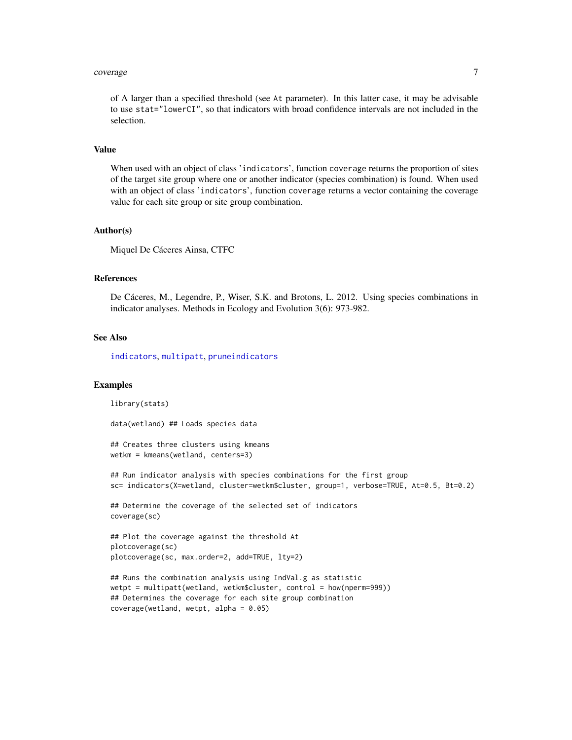#### <span id="page-6-0"></span>coverage 7 and 2008 and 2008 and 2008 and 2008 and 2008 and 2008 and 2008 and 2008 and 2008 and 2008 and 2008 and 2008 and 2008 and 2008 and 2008 and 2008 and 2008 and 2008 and 2008 and 2008 and 2008 and 2008 and 2008 and

of A larger than a specified threshold (see At parameter). In this latter case, it may be advisable to use stat="lowerCI", so that indicators with broad confidence intervals are not included in the selection.

#### Value

When used with an object of class 'indicators', function coverage returns the proportion of sites of the target site group where one or another indicator (species combination) is found. When used with an object of class 'indicators', function coverage returns a vector containing the coverage value for each site group or site group combination.

#### Author(s)

Miquel De Cáceres Ainsa, CTFC

#### References

De Cáceres, M., Legendre, P., Wiser, S.K. and Brotons, L. 2012. Using species combinations in indicator analyses. Methods in Ecology and Evolution 3(6): 973-982.

## See Also

[indicators](#page-7-1), [multipatt](#page-10-1), [pruneindicators](#page-22-1)

#### Examples

library(stats) data(wetland) ## Loads species data ## Creates three clusters using kmeans wetkm = kmeans(wetland, centers=3) ## Run indicator analysis with species combinations for the first group sc= indicators(X=wetland, cluster=wetkm\$cluster, group=1, verbose=TRUE, At=0.5, Bt=0.2) ## Determine the coverage of the selected set of indicators coverage(sc) ## Plot the coverage against the threshold At plotcoverage(sc) plotcoverage(sc, max.order=2, add=TRUE, lty=2) ## Runs the combination analysis using IndVal.g as statistic wetpt = multipatt(wetland, wetkm\$cluster, control = how(nperm=999)) ## Determines the coverage for each site group combination coverage(wetland, wetpt, alpha = 0.05)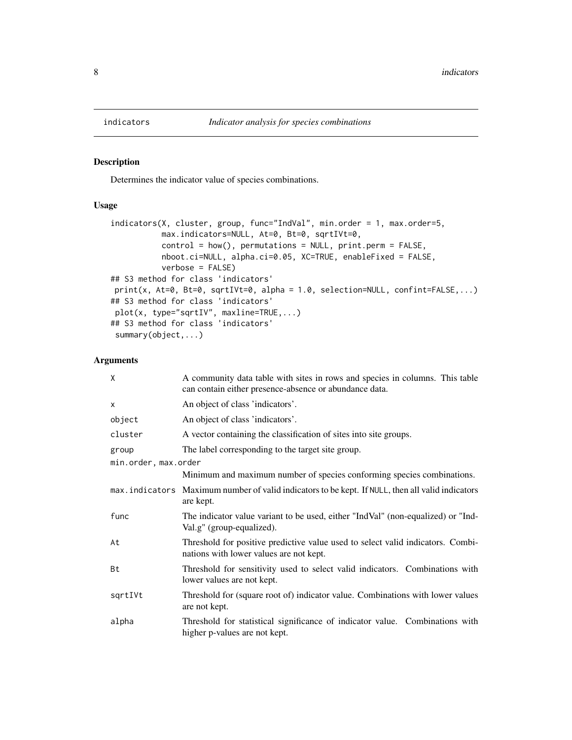<span id="page-7-1"></span><span id="page-7-0"></span>

### Description

Determines the indicator value of species combinations.

# Usage

```
indicators(X, cluster, group, func="IndVal", min.order = 1, max.order=5,
           max.indicators=NULL, At=0, Bt=0, sqrtIVt=0,
          control = how(), permutations = NULL, print.perm = FALSE,
           nboot.ci=NULL, alpha.ci=0.05, XC=TRUE, enableFixed = FALSE,
           verbose = FALSE)
## S3 method for class 'indicators'
print(x, At=0, Bt=0, sqrtIVt=0, alpha = 1.0, selection=NULL, confint=FALSE,...)
## S3 method for class 'indicators'
plot(x, type="sqrtIV", maxline=TRUE,...)
## S3 method for class 'indicators'
summary(object,...)
```
# Arguments

| X                    | A community data table with sites in rows and species in columns. This table<br>can contain either presence-absence or abundance data. |
|----------------------|----------------------------------------------------------------------------------------------------------------------------------------|
| $\times$             | An object of class 'indicators'.                                                                                                       |
| object               | An object of class 'indicators'.                                                                                                       |
| cluster              | A vector containing the classification of sites into site groups.                                                                      |
| group                | The label corresponding to the target site group.                                                                                      |
| min.order, max.order |                                                                                                                                        |
|                      | Minimum and maximum number of species conforming species combinations.                                                                 |
|                      | max. indicators Maximum number of valid indicators to be kept. If NULL, then all valid indicators<br>are kept.                         |
| func                 | The indicator value variant to be used, either "IndVal" (non-equalized) or "Ind-<br>Val.g" (group-equalized).                          |
| At                   | Threshold for positive predictive value used to select valid indicators. Combi-<br>nations with lower values are not kept.             |
| Bt                   | Threshold for sensitivity used to select valid indicators. Combinations with<br>lower values are not kept.                             |
| sqrtIVt              | Threshold for (square root of) indicator value. Combinations with lower values<br>are not kept.                                        |
| alpha                | Threshold for statistical significance of indicator value. Combinations with<br>higher p-values are not kept.                          |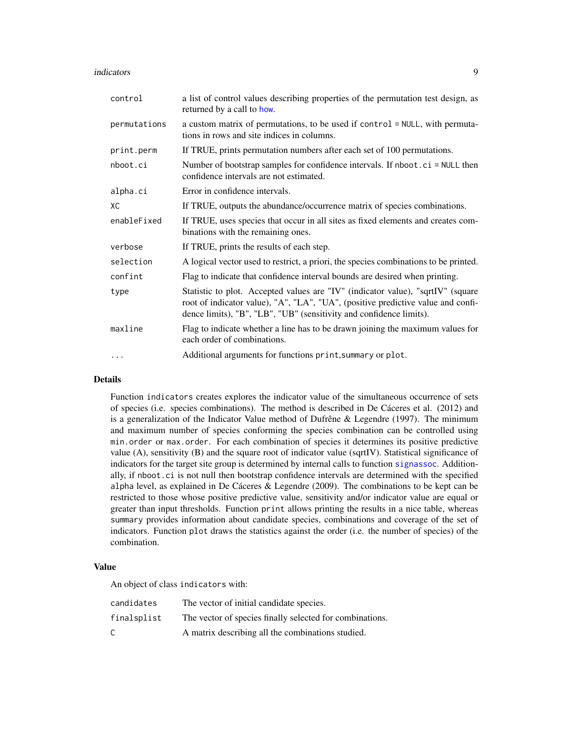#### <span id="page-8-0"></span>indicators 9

| control      | a list of control values describing properties of the permutation test design, as<br>returned by a call to how.                                                                                                                            |
|--------------|--------------------------------------------------------------------------------------------------------------------------------------------------------------------------------------------------------------------------------------------|
| permutations | a custom matrix of permutations, to be used if control = NULL, with permuta-<br>tions in rows and site indices in columns.                                                                                                                 |
| print.perm   | If TRUE, prints permutation numbers after each set of 100 permutations.                                                                                                                                                                    |
| nboot.ci     | Number of bootstrap samples for confidence intervals. If $n$ hboot.ci = NULL then<br>confidence intervals are not estimated.                                                                                                               |
| alpha.ci     | Error in confidence intervals.                                                                                                                                                                                                             |
| ХC           | If TRUE, outputs the abundance/occurrence matrix of species combinations.                                                                                                                                                                  |
| enableFixed  | If TRUE, uses species that occur in all sites as fixed elements and creates com-<br>binations with the remaining ones.                                                                                                                     |
| verbose      | If TRUE, prints the results of each step.                                                                                                                                                                                                  |
| selection    | A logical vector used to restrict, a priori, the species combinations to be printed.                                                                                                                                                       |
| confint      | Flag to indicate that confidence interval bounds are desired when printing.                                                                                                                                                                |
| type         | Statistic to plot. Accepted values are "IV" (indicator value), "sqrtIV" (square<br>root of indicator value), "A", "LA", "UA", (positive predictive value and confi-<br>dence limits), "B", "LB", "UB" (sensitivity and confidence limits). |
| maxline      | Flag to indicate whether a line has to be drawn joining the maximum values for<br>each order of combinations.                                                                                                                              |
| $\cdots$     | Additional arguments for functions print, summary or plot.                                                                                                                                                                                 |

# Details

Function indicators creates explores the indicator value of the simultaneous occurrence of sets of species (i.e. species combinations). The method is described in De Cáceres et al. (2012) and is a generalization of the Indicator Value method of Dufrêne & Legendre (1997). The minimum and maximum number of species conforming the species combination can be controlled using min.order or max.order. For each combination of species it determines its positive predictive value (A), sensitivity (B) and the square root of indicator value (sqrtIV). Statistical significance of indicators for the target site group is determined by internal calls to function [signassoc](#page-24-1). Additionally, if nboot.ci is not null then bootstrap confidence intervals are determined with the specified alpha level, as explained in De Cáceres & Legendre (2009). The combinations to be kept can be restricted to those whose positive predictive value, sensitivity and/or indicator value are equal or greater than input thresholds. Function print allows printing the results in a nice table, whereas summary provides information about candidate species, combinations and coverage of the set of indicators. Function plot draws the statistics against the order (i.e. the number of species) of the combination.

#### Value

An object of class indicators with:

| candidates  | The vector of initial candidate species.                 |
|-------------|----------------------------------------------------------|
| finalsplist | The vector of species finally selected for combinations. |
| C.          | A matrix describing all the combinations studied.        |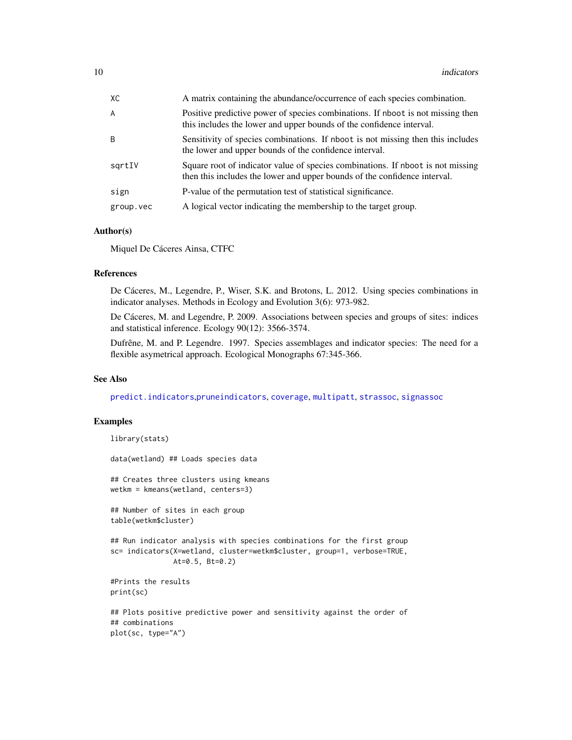<span id="page-9-0"></span>

| XC        | A matrix containing the abundance/occurrence of each species combination.                                                                                    |
|-----------|--------------------------------------------------------------------------------------------------------------------------------------------------------------|
| A         | Positive predictive power of species combinations. If nboot is not missing then<br>this includes the lower and upper bounds of the confidence interval.      |
| B         | Sensitivity of species combinations. If nboot is not missing then this includes<br>the lower and upper bounds of the confidence interval.                    |
| sqrtIV    | Square root of indicator value of species combinations. If nboot is not missing<br>then this includes the lower and upper bounds of the confidence interval. |
| sign      | P-value of the permutation test of statistical significance.                                                                                                 |
| group.vec | A logical vector indicating the membership to the target group.                                                                                              |

#### Author(s)

Miquel De Cáceres Ainsa, CTFC

#### References

De Cáceres, M., Legendre, P., Wiser, S.K. and Brotons, L. 2012. Using species combinations in indicator analyses. Methods in Ecology and Evolution 3(6): 973-982.

De Cáceres, M. and Legendre, P. 2009. Associations between species and groups of sites: indices and statistical inference. Ecology 90(12): 3566-3574.

Dufrêne, M. and P. Legendre. 1997. Species assemblages and indicator species: The need for a flexible asymetrical approach. Ecological Monographs 67:345-366.

#### See Also

[predict.indicators](#page-20-1),[pruneindicators](#page-22-1), [coverage](#page-4-1), [multipatt](#page-10-1), [strassoc](#page-26-1), [signassoc](#page-24-1)

# Examples

```
library(stats)
data(wetland) ## Loads species data
## Creates three clusters using kmeans
wetkm = kmeans(wetland, centers=3)
## Number of sites in each group
table(wetkm$cluster)
## Run indicator analysis with species combinations for the first group
sc= indicators(X=wetland, cluster=wetkm$cluster, group=1, verbose=TRUE,
               At=0.5, Bt=0.2)
#Prints the results
print(sc)
## Plots positive predictive power and sensitivity against the order of
## combinations
plot(sc, type="A")
```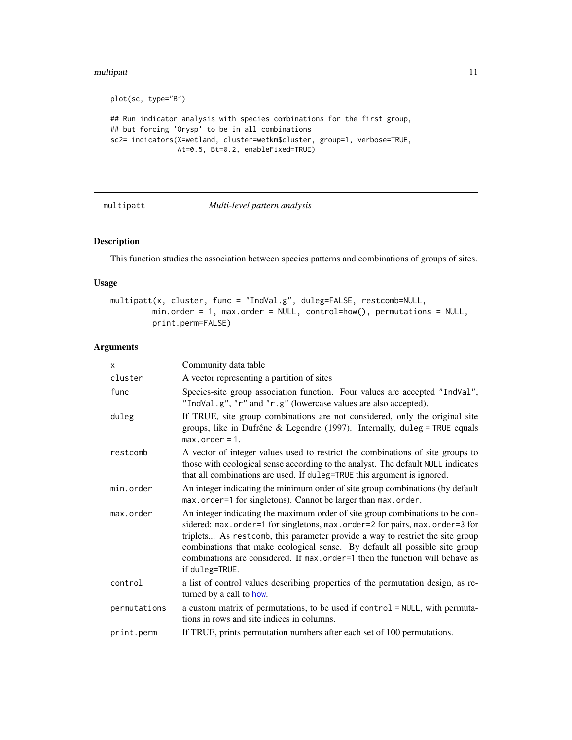#### <span id="page-10-0"></span>multipatt the contract of the contract of the contract of the contract of the contract of the contract of the contract of the contract of the contract of the contract of the contract of the contract of the contract of the

```
plot(sc, type="B")
## Run indicator analysis with species combinations for the first group,
## but forcing 'Orysp' to be in all combinations
sc2= indicators(X=wetland, cluster=wetkm$cluster, group=1, verbose=TRUE,
               At=0.5, Bt=0.2, enableFixed=TRUE)
```
<span id="page-10-1"></span>multipatt *Multi-level pattern analysis*

# Description

This function studies the association between species patterns and combinations of groups of sites.

# Usage

```
multipatt(x, cluster, func = "IndVal.g", duleg=FALSE, restcomb=NULL,
        min.order = 1, max.order = NULL, control=how(), permutations = NULL,
         print.perm=FALSE)
```
#### Arguments

| <b>X</b>     | Community data table                                                                                                                                                                                                                                                                                                                                                                                                              |
|--------------|-----------------------------------------------------------------------------------------------------------------------------------------------------------------------------------------------------------------------------------------------------------------------------------------------------------------------------------------------------------------------------------------------------------------------------------|
| cluster      | A vector representing a partition of sites                                                                                                                                                                                                                                                                                                                                                                                        |
| func         | Species-site group association function. Four values are accepted "IndVal",<br>"IndVal.g", "r" and "r.g" (lowercase values are also accepted).                                                                                                                                                                                                                                                                                    |
| duleg        | If TRUE, site group combinations are not considered, only the original site<br>groups, like in Dufrêne & Legendre (1997). Internally, duleg = TRUE equals<br>$max. order = 1.$                                                                                                                                                                                                                                                    |
| restcomb     | A vector of integer values used to restrict the combinations of site groups to<br>those with ecological sense according to the analyst. The default NULL indicates<br>that all combinations are used. If duleg=TRUE this argument is ignored.                                                                                                                                                                                     |
| min.order    | An integer indicating the minimum order of site group combinations (by default<br>max.order=1 for singletons). Cannot be larger than max.order.                                                                                                                                                                                                                                                                                   |
| max.order    | An integer indicating the maximum order of site group combinations to be con-<br>sidered: max.order=1 for singletons, max.order=2 for pairs, max.order=3 for<br>triplets As rest comb, this parameter provide a way to restrict the site group<br>combinations that make ecological sense. By default all possible site group<br>combinations are considered. If max order = 1 then the function will behave as<br>if duleg=TRUE. |
| control      | a list of control values describing properties of the permutation design, as re-<br>turned by a call to how.                                                                                                                                                                                                                                                                                                                      |
| permutations | a custom matrix of permutations, to be used if control = NULL, with permuta-<br>tions in rows and site indices in columns.                                                                                                                                                                                                                                                                                                        |
| print.perm   | If TRUE, prints permutation numbers after each set of 100 permutations.                                                                                                                                                                                                                                                                                                                                                           |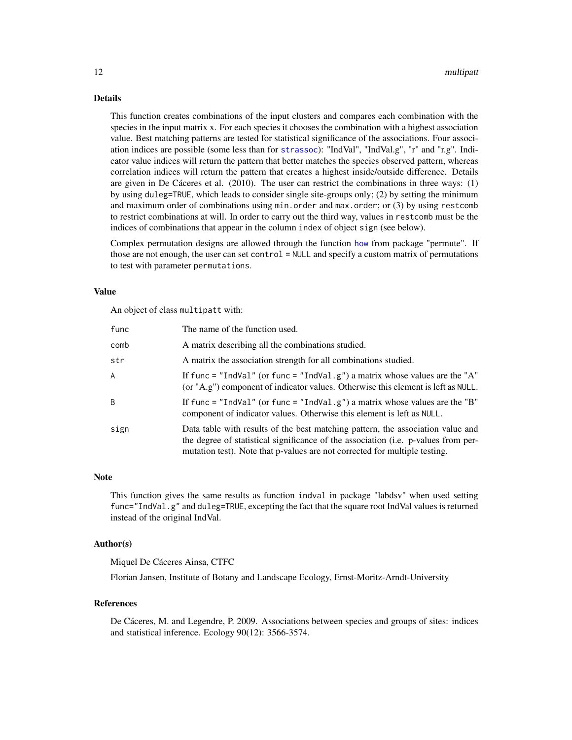# <span id="page-11-0"></span>Details

This function creates combinations of the input clusters and compares each combination with the species in the input matrix x. For each species it chooses the combination with a highest association value. Best matching patterns are tested for statistical significance of the associations. Four association indices are possible (some less than for [strassoc](#page-26-1)): "IndVal", "IndVal.g", "r" and "r.g". Indicator value indices will return the pattern that better matches the species observed pattern, whereas correlation indices will return the pattern that creates a highest inside/outside difference. Details are given in De Cáceres et al. (2010). The user can restrict the combinations in three ways: (1) by using duleg=TRUE, which leads to consider single site-groups only; (2) by setting the minimum and maximum order of combinations using min.order and max.order; or (3) by using restcomb to restrict combinations at will. In order to carry out the third way, values in restcomb must be the indices of combinations that appear in the column index of object sign (see below).

Complex permutation designs are allowed through the function [how](#page-0-0) from package "permute". If those are not enough, the user can set control = NULL and specify a custom matrix of permutations to test with parameter permutations.

# Value

An object of class multipatt with:

| func         | The name of the function used.                                                                                                                                                                                                                      |
|--------------|-----------------------------------------------------------------------------------------------------------------------------------------------------------------------------------------------------------------------------------------------------|
| comb         | A matrix describing all the combinations studied.                                                                                                                                                                                                   |
| str          | A matrix the association strength for all combinations studied.                                                                                                                                                                                     |
| A            | If func = "IndVal" (or func = "IndVal.g") a matrix whose values are the "A"<br>(or "A.g") component of indicator values. Otherwise this element is left as NULL.                                                                                    |
| <sub>R</sub> | If func = "IndVal" (or func = "IndVal.g") a matrix whose values are the "B"<br>component of indicator values. Otherwise this element is left as NULL.                                                                                               |
| sign         | Data table with results of the best matching pattern, the association value and<br>the degree of statistical significance of the association (i.e. p-values from per-<br>mutation test). Note that p-values are not corrected for multiple testing. |

#### Note

This function gives the same results as function indval in package "labdsv" when used setting func="IndVal.g" and duleg=TRUE, excepting the fact that the square root IndVal values is returned instead of the original IndVal.

#### Author(s)

Miquel De Cáceres Ainsa, CTFC

Florian Jansen, Institute of Botany and Landscape Ecology, Ernst-Moritz-Arndt-University

#### References

De Cáceres, M. and Legendre, P. 2009. Associations between species and groups of sites: indices and statistical inference. Ecology 90(12): 3566-3574.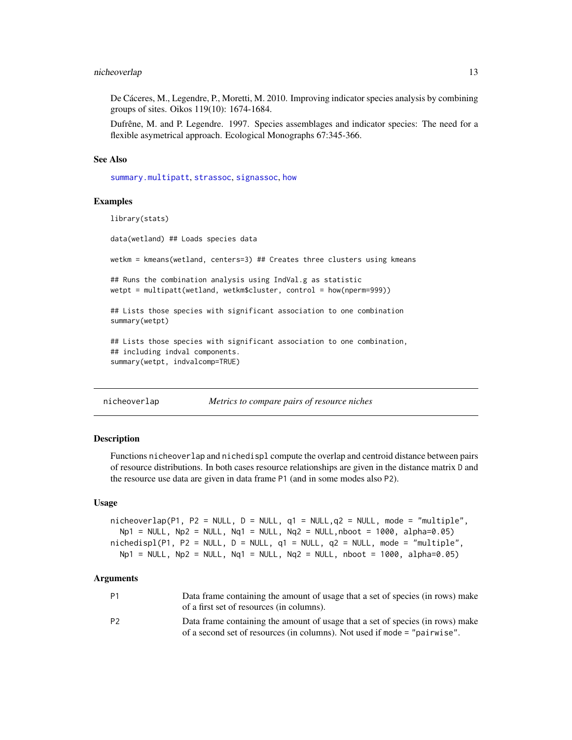# <span id="page-12-0"></span>nicheoverlap 13

De Cáceres, M., Legendre, P., Moretti, M. 2010. Improving indicator species analysis by combining groups of sites. Oikos 119(10): 1674-1684.

Dufrêne, M. and P. Legendre. 1997. Species assemblages and indicator species: The need for a flexible asymetrical approach. Ecological Monographs 67:345-366.

#### See Also

[summary.multipatt](#page-28-1), [strassoc](#page-26-1), [signassoc](#page-24-1), [how](#page-0-0)

#### Examples

```
library(stats)
data(wetland) ## Loads species data
wetkm = kmeans(wetland, centers=3) ## Creates three clusters using kmeans
## Runs the combination analysis using IndVal.g as statistic
wetpt = multipatt(wetland, wetkm$cluster, control = how(nperm=999))
## Lists those species with significant association to one combination
summary(wetpt)
## Lists those species with significant association to one combination,
## including indval components.
summary(wetpt, indvalcomp=TRUE)
```
<span id="page-12-1"></span>nicheoverlap *Metrics to compare pairs of resource niches*

#### **Description**

Functions nicheoverlap and nichedispl compute the overlap and centroid distance between pairs of resource distributions. In both cases resource relationships are given in the distance matrix D and the resource use data are given in data frame P1 (and in some modes also P2).

#### Usage

```
nicheoverlap(P1, P2 = NULL, D = NULL, q1 = NULL,q2 = NULL, mode = "multiple",
 Np1 = NULL, Np2 = NULL, Nq1 = NULL, Nq2 = NULL, nboot = 1000, alpha=0.05)
nichedispl(P1, P2 = NULL, D = NULL, q1 = NULL, q2 = NULL, mode = "multiple",Np1 = NULL, Np2 = NULL, Nq1 = NULL, Nq2 = NULL, nboot = 1000, alpha=0.05)
```
# Arguments

| P <sub>1</sub> | Data frame containing the amount of usage that a set of species (in rows) make |
|----------------|--------------------------------------------------------------------------------|
|                | of a first set of resources (in columns).                                      |
| P <sub>2</sub> | Data frame containing the amount of usage that a set of species (in rows) make |
|                | of a second set of resources (in columns). Not used if mode = "pairwise".      |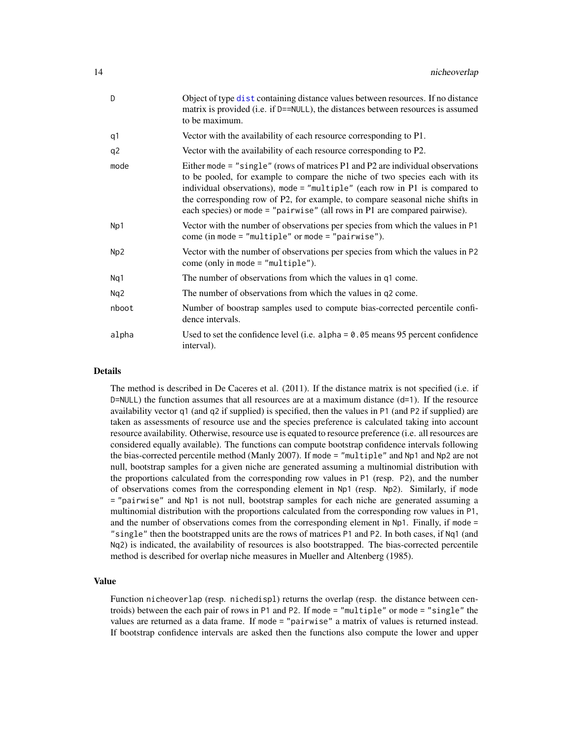<span id="page-13-0"></span>

| D               | Object of type dist containing distance values between resources. If no distance<br>matrix is provided (i.e. if D==NULL), the distances between resources is assumed<br>to be maximum.                                                                                                                                                                                                                           |
|-----------------|------------------------------------------------------------------------------------------------------------------------------------------------------------------------------------------------------------------------------------------------------------------------------------------------------------------------------------------------------------------------------------------------------------------|
| q1              | Vector with the availability of each resource corresponding to P1.                                                                                                                                                                                                                                                                                                                                               |
| q <sub>2</sub>  | Vector with the availability of each resource corresponding to P2.                                                                                                                                                                                                                                                                                                                                               |
| mode            | Either mode $=$ "single" (rows of matrices P1 and P2 are individual observations<br>to be pooled, for example to compare the niche of two species each with its<br>individual observations), mode = "multiple" (each row in $P1$ is compared to<br>the corresponding row of P2, for example, to compare seasonal niche shifts in<br>each species) or mode = "pairwise" (all rows in $P1$ are compared pairwise). |
| Np1             | Vector with the number of observations per species from which the values in P1<br>come (in mode = "multiple" or mode = "pairwise").                                                                                                                                                                                                                                                                              |
| Np <sub>2</sub> | Vector with the number of observations per species from which the values in P2<br>come (only in mode $=$ "multiple").                                                                                                                                                                                                                                                                                            |
| Nq1             | The number of observations from which the values in q1 come.                                                                                                                                                                                                                                                                                                                                                     |
| Nq2             | The number of observations from which the values in q2 come.                                                                                                                                                                                                                                                                                                                                                     |
| nboot           | Number of boostrap samples used to compute bias-corrected percentile confi-<br>dence intervals.                                                                                                                                                                                                                                                                                                                  |
| alpha           | Used to set the confidence level (i.e. alpha = $0.05$ means 95 percent confidence<br>interval).                                                                                                                                                                                                                                                                                                                  |

# Details

The method is described in De Caceres et al. (2011). If the distance matrix is not specified (i.e. if  $D=NULL$ ) the function assumes that all resources are at a maximum distance ( $d=1$ ). If the resource availability vector q1 (and q2 if supplied) is specified, then the values in P1 (and P2 if supplied) are taken as assessments of resource use and the species preference is calculated taking into account resource availability. Otherwise, resource use is equated to resource preference (i.e. all resources are considered equally available). The functions can compute bootstrap confidence intervals following the bias-corrected percentile method (Manly 2007). If mode = "multiple" and Np1 and Np2 are not null, bootstrap samples for a given niche are generated assuming a multinomial distribution with the proportions calculated from the corresponding row values in P1 (resp. P2), and the number of observations comes from the corresponding element in Np1 (resp. Np2). Similarly, if mode = "pairwise" and Np1 is not null, bootstrap samples for each niche are generated assuming a multinomial distribution with the proportions calculated from the corresponding row values in P1, and the number of observations comes from the corresponding element in  $Np1$ . Finally, if mode = "single" then the bootstrapped units are the rows of matrices P1 and P2. In both cases, if Nq1 (and Nq2) is indicated, the availability of resources is also bootstrapped. The bias-corrected percentile method is described for overlap niche measures in Mueller and Altenberg (1985).

#### Value

Function nicheoverlap (resp. nichedispl) returns the overlap (resp. the distance between centroids) between the each pair of rows in P1 and P2. If mode = "multiple" or mode = "single" the values are returned as a data frame. If mode = "pairwise" a matrix of values is returned instead. If bootstrap confidence intervals are asked then the functions also compute the lower and upper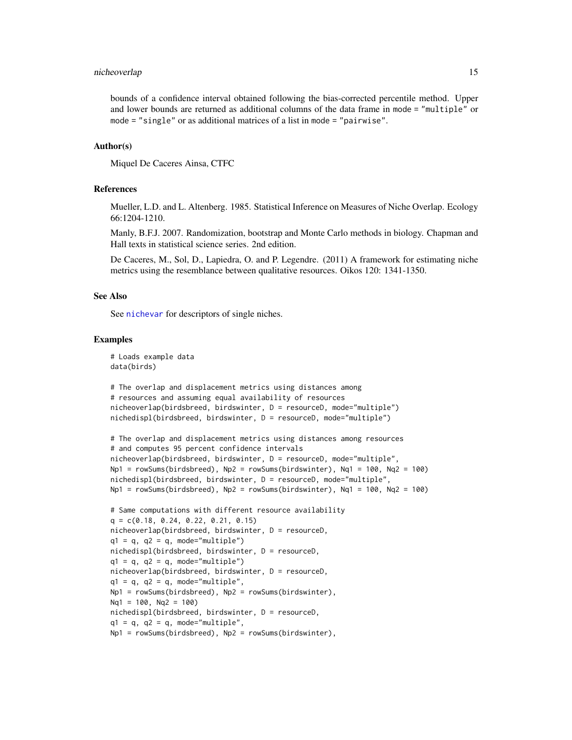#### <span id="page-14-0"></span>nicheoverlap 15

bounds of a confidence interval obtained following the bias-corrected percentile method. Upper and lower bounds are returned as additional columns of the data frame in mode = "multiple" or mode = "single" or as additional matrices of a list in mode = "pairwise".

#### Author(s)

Miquel De Caceres Ainsa, CTFC

#### References

Mueller, L.D. and L. Altenberg. 1985. Statistical Inference on Measures of Niche Overlap. Ecology 66:1204-1210.

Manly, B.F.J. 2007. Randomization, bootstrap and Monte Carlo methods in biology. Chapman and Hall texts in statistical science series. 2nd edition.

De Caceres, M., Sol, D., Lapiedra, O. and P. Legendre. (2011) A framework for estimating niche metrics using the resemblance between qualitative resources. Oikos 120: 1341-1350.

#### See Also

See [nichevar](#page-15-1) for descriptors of single niches.

#### Examples

```
# Loads example data
data(birds)
```

```
# The overlap and displacement metrics using distances among
# resources and assuming equal availability of resources
nicheoverlap(birdsbreed, birdswinter, D = resourceD, mode="multiple")
nichedispl(birdsbreed, birdswinter, D = resourceD, mode="multiple")
```

```
# The overlap and displacement metrics using distances among resources
# and computes 95 percent confidence intervals
nicheoverlap(birdsbreed, birdswinter, D = resourceD, mode="multiple",
Np1 = rowSums(birdsbreed), Np2 = rowSums(birdswinter), Nq1 = 100, Nq2 = 100)
nichedispl(birdsbreed, birdswinter, D = resourceD, mode="multiple",
Np1 = rowSums(birdsbreed), Np2 = rowSums(birdswinter), Nq1 = 100, Nq2 = 100)
```

```
# Same computations with different resource availability
q = c(0.18, 0.24, 0.22, 0.21, 0.15)nicheoverlap(birdsbreed, birdswinter, D = resourceD,
q1 = q, q2 = q, mode="multiple")
nichedispl(birdsbreed, birdswinter, D = resourceD,
q1 = q, q2 = q, mode="multiple")
nicheoverlap(birdsbreed, birdswinter, D = resourceD,
q1 = q, q2 = q, mode="multiple",
Np1 = rowSums(birdsbreed), Np2 = rowSums(birdswinter),
Nq1 = 100, Nq2 = 100nichedispl(birdsbreed, birdswinter, D = resourceD,
q1 = q, q2 = q, mode="multiple",
Np1 = rowSums(birdsbreed), Np2 = rowSums(birdswinter),
```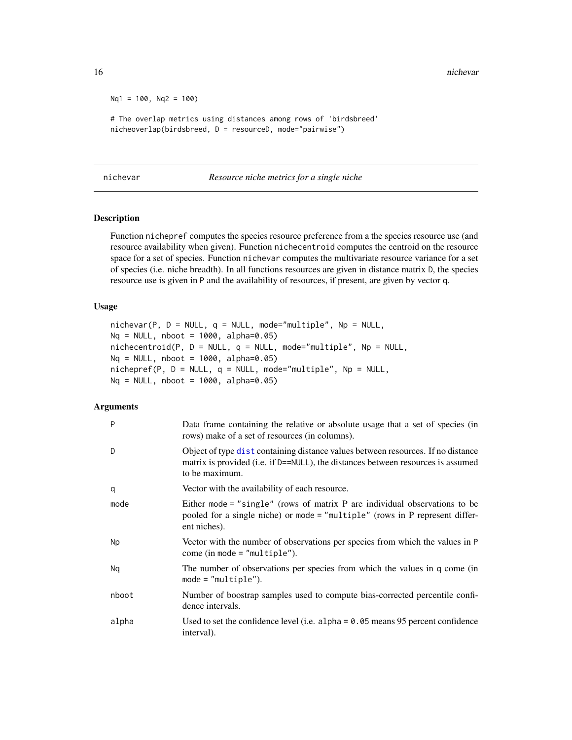<span id="page-15-0"></span>16 nichevar

```
Nq1 = 100, Nq2 = 100# The overlap metrics using distances among rows of 'birdsbreed'
nicheoverlap(birdsbreed, D = resourceD, mode="pairwise")
```
<span id="page-15-1"></span>

| nichevar |  |  |
|----------|--|--|
|          |  |  |

# nichevar *Resource niche metrics for a single niche*

# Description

Function nichepref computes the species resource preference from a the species resource use (and resource availability when given). Function nichecentroid computes the centroid on the resource space for a set of species. Function nichevar computes the multivariate resource variance for a set of species (i.e. niche breadth). In all functions resources are given in distance matrix D, the species resource use is given in P and the availability of resources, if present, are given by vector q.

#### Usage

```
nichevar(P, D = NULL, q = NULL, mode="multiple", Np = NULL,Nq = NULL, nboot = 1000, alpha=0.05)
nichecentroid(P, D = NULL, q = NULL, mode="multiple", Np = NULL,Nq = NULL, nboot = 1000, alpha=0.05)
nichepref(P, D = NULL, q = NULL, mode="multiple", Np = NULL,Nq = NULL, nboot = 1000, alpha=0.05)
```
#### Arguments

| P         | Data frame containing the relative or absolute usage that a set of species (in<br>rows) make of a set of resources (in columns).                                                       |
|-----------|----------------------------------------------------------------------------------------------------------------------------------------------------------------------------------------|
| D         | Object of type dist containing distance values between resources. If no distance<br>matrix is provided (i.e. if D==NULL), the distances between resources is assumed<br>to be maximum. |
| q         | Vector with the availability of each resource.                                                                                                                                         |
| mode      | Either mode $=$ "single" (rows of matrix P are individual observations to be<br>pooled for a single niche) or mode = "multiple" (rows in P represent differ-<br>ent niches).           |
| <b>Np</b> | Vector with the number of observations per species from which the values in P<br>$come (in mode = "multiple").$                                                                        |
| Nq        | The number of observations per species from which the values in q come (in<br>$mode = "multiple").$                                                                                    |
| nboot     | Number of boostrap samples used to compute bias-corrected percentile confi-<br>dence intervals.                                                                                        |
| alpha     | Used to set the confidence level (i.e. alpha = $0.05$ means 95 percent confidence<br>interval).                                                                                        |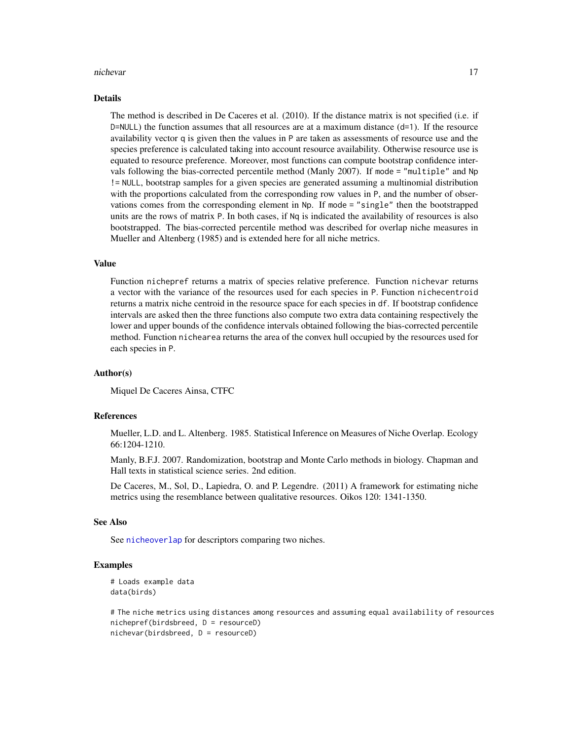#### <span id="page-16-0"></span>nichevar 17

# Details

The method is described in De Caceres et al. (2010). If the distance matrix is not specified (i.e. if  $D=NULL$ ) the function assumes that all resources are at a maximum distance ( $d=1$ ). If the resource availability vector q is given then the values in P are taken as assessments of resource use and the species preference is calculated taking into account resource availability. Otherwise resource use is equated to resource preference. Moreover, most functions can compute bootstrap confidence intervals following the bias-corrected percentile method (Manly 2007). If mode = "multiple" and Np != NULL, bootstrap samples for a given species are generated assuming a multinomial distribution with the proportions calculated from the corresponding row values in P, and the number of observations comes from the corresponding element in Np. If mode = "single" then the bootstrapped units are the rows of matrix P. In both cases, if Nq is indicated the availability of resources is also bootstrapped. The bias-corrected percentile method was described for overlap niche measures in Mueller and Altenberg (1985) and is extended here for all niche metrics.

#### Value

Function nichepref returns a matrix of species relative preference. Function nichevar returns a vector with the variance of the resources used for each species in P. Function nichecentroid returns a matrix niche centroid in the resource space for each species in df. If bootstrap confidence intervals are asked then the three functions also compute two extra data containing respectively the lower and upper bounds of the confidence intervals obtained following the bias-corrected percentile method. Function nichearea returns the area of the convex hull occupied by the resources used for each species in P.

# Author(s)

Miquel De Caceres Ainsa, CTFC

# References

Mueller, L.D. and L. Altenberg. 1985. Statistical Inference on Measures of Niche Overlap. Ecology 66:1204-1210.

Manly, B.F.J. 2007. Randomization, bootstrap and Monte Carlo methods in biology. Chapman and Hall texts in statistical science series. 2nd edition.

De Caceres, M., Sol, D., Lapiedra, O. and P. Legendre. (2011) A framework for estimating niche metrics using the resemblance between qualitative resources. Oikos 120: 1341-1350.

# See Also

See [nicheoverlap](#page-12-1) for descriptors comparing two niches.

#### Examples

```
# Loads example data
data(birds)
```

```
# The niche metrics using distances among resources and assuming equal availability of resources
nichepref(birdsbreed, D = resourceD)
nichevar(birdsbreed, D = resourceD)
```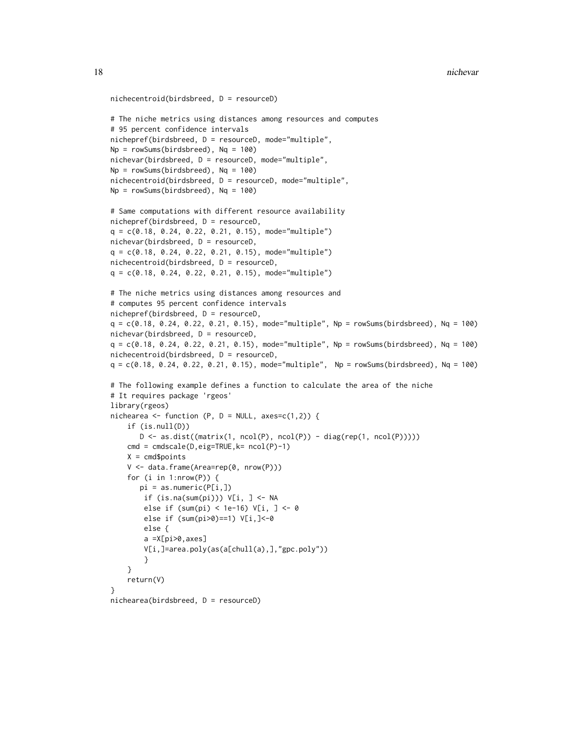```
nichecentroid(birdsbreed, D = resourceD)
# The niche metrics using distances among resources and computes
# 95 percent confidence intervals
nichepref(birdsbreed, D = resourceD, mode="multiple",
Np = rowsums(birdsbreed), Nq = 100)nichevar(birdsbreed, D = resourceD, mode="multiple",
Np = rowsums(birdsbreed), Nq = 100)nichecentroid(birdsbreed, D = resourceD, mode="multiple",
Np = rowSums(birdsbreed), Nq = 100)
# Same computations with different resource availability
nichepref(birdsbreed, D = resourceD,
q = c(0.18, 0.24, 0.22, 0.21, 0.15), mode="multiple")
nichevar(birdsbreed, D = resourceD,
q = c(0.18, 0.24, 0.22, 0.21, 0.15), mode="multiple")
nichecentroid(birdsbreed, D = resourceD,
q = c(0.18, 0.24, 0.22, 0.21, 0.15), mode="multiple")
# The niche metrics using distances among resources and
# computes 95 percent confidence intervals
nichepref(birdsbreed, D = resourceD,
q = c(0.18, 0.24, 0.22, 0.21, 0.15), mode="multiple", Np = rowSums(birdsbreed), Nq = 100)
nichevar(birdsbreed, D = resourceD,
q = c(0.18, 0.24, 0.22, 0.21, 0.15), mode="multiple", Np = rowSums(birdsbreed), Nq = 100)
nichecentroid(birdsbreed, D = resourceD,
q = c(0.18, 0.24, 0.22, 0.21, 0.15), mode="multiple", Np = rowSums(birdsbreed), Nq = 100)
# The following example defines a function to calculate the area of the niche
# It requires package 'rgeos'
library(rgeos)
nichearea <- function (P, D = NULL, axes=c(1,2)) {
    if (is.null(D))
       D \leftarrow as.dist((matrix(1, ncol(P), ncol(P)) - diag(rep(1, ncol(P))))cmd = cmdscale(D,eig=TRUE,k= ncol(P)-1)
    X = \text{cmd}spoints
    V <- data.frame(Area=rep(0, nrow(P)))
    for (i in 1: nrow(P)) {
       pi = as.numeric(P[i,])
        if (is.na(sum(pi))) V[i, ] <- NA
        else if (sum(pi) < 1e-16) V[i, ] <- 0
        else if (sum(pi>0)==1) V[i,]<-0
        else {
        a =X[pi>0,axes]
        V[i,]=area.poly(as(a[chull(a),],"gpc.poly"))
        }
    }
    return(V)
}
nichearea(birdsbreed, D = resourceD)
```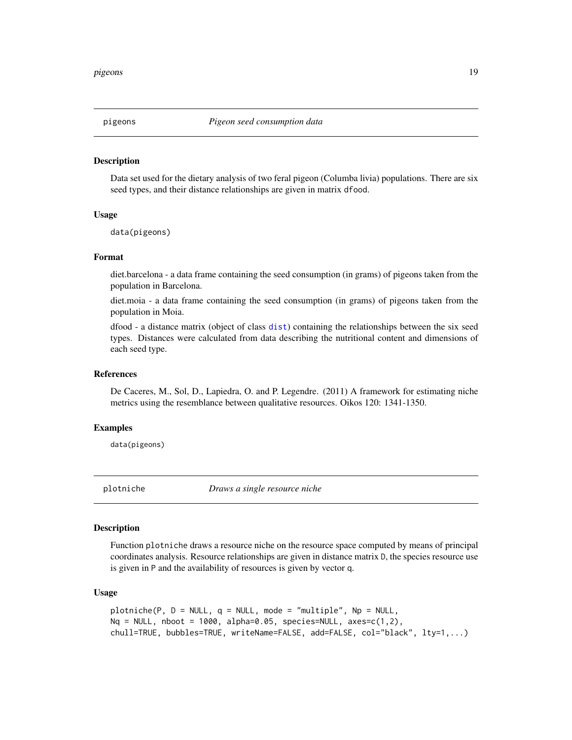<span id="page-18-0"></span>

#### Description

Data set used for the dietary analysis of two feral pigeon (Columba livia) populations. There are six seed types, and their distance relationships are given in matrix dfood.

#### Usage

data(pigeons)

# Format

diet.barcelona - a data frame containing the seed consumption (in grams) of pigeons taken from the population in Barcelona.

diet.moia - a data frame containing the seed consumption (in grams) of pigeons taken from the population in Moia.

dfood - a distance matrix (object of class [dist](#page-0-0)) containing the relationships between the six seed types. Distances were calculated from data describing the nutritional content and dimensions of each seed type.

#### References

De Caceres, M., Sol, D., Lapiedra, O. and P. Legendre. (2011) A framework for estimating niche metrics using the resemblance between qualitative resources. Oikos 120: 1341-1350.

#### Examples

data(pigeons)

plotniche *Draws a single resource niche*

#### Description

Function plotniche draws a resource niche on the resource space computed by means of principal coordinates analysis. Resource relationships are given in distance matrix D, the species resource use is given in P and the availability of resources is given by vector q.

#### Usage

```
plotniche(P, D = NULL, q = NULL, mode = "multiple", Np = NULL,
Nq = NULL, nboot = 1000, alpha=0.05, species=NULL, axes=c(1,2),
chull=TRUE, bubbles=TRUE, writeName=FALSE, add=FALSE, col="black", lty=1,...)
```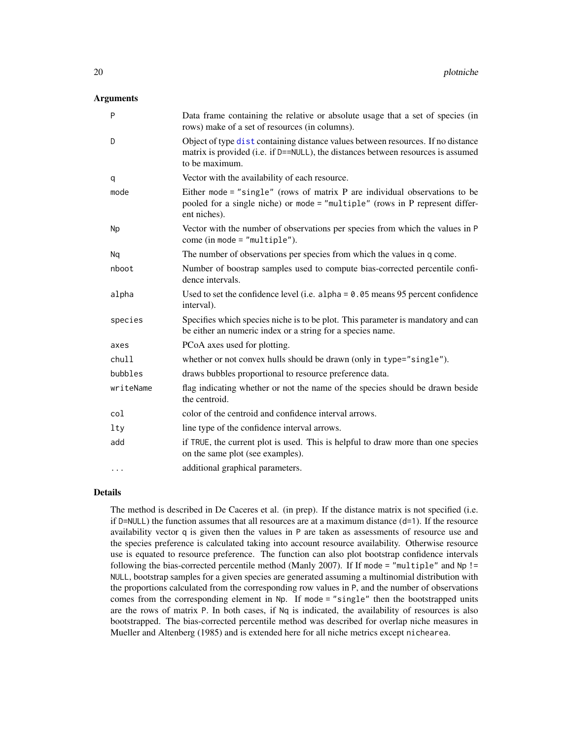# <span id="page-19-0"></span>**Arguments**

| $\mathsf{P}$ | Data frame containing the relative or absolute usage that a set of species (in<br>rows) make of a set of resources (in columns).                                                       |
|--------------|----------------------------------------------------------------------------------------------------------------------------------------------------------------------------------------|
| D            | Object of type dist containing distance values between resources. If no distance<br>matrix is provided (i.e. if D==NULL), the distances between resources is assumed<br>to be maximum. |
| q            | Vector with the availability of each resource.                                                                                                                                         |
| mode         | Either mode = "single" (rows of matrix $P$ are individual observations to be<br>pooled for a single niche) or mode = "multiple" (rows in P represent differ-<br>ent niches).           |
| Np           | Vector with the number of observations per species from which the values in P<br>come (in mode = $"multiple".$                                                                         |
| Nq           | The number of observations per species from which the values in q come.                                                                                                                |
| nboot        | Number of boostrap samples used to compute bias-corrected percentile confi-<br>dence intervals.                                                                                        |
| alpha        | Used to set the confidence level (i.e. alpha = $0.05$ means 95 percent confidence<br>interval).                                                                                        |
| species      | Specifies which species niche is to be plot. This parameter is mandatory and can<br>be either an numeric index or a string for a species name.                                         |
| axes         | PCoA axes used for plotting.                                                                                                                                                           |
| chull        | whether or not convex hulls should be drawn (only in type="single").                                                                                                                   |
| bubbles      | draws bubbles proportional to resource preference data.                                                                                                                                |
| writeName    | flag indicating whether or not the name of the species should be drawn beside<br>the centroid.                                                                                         |
| col          | color of the centroid and confidence interval arrows.                                                                                                                                  |
| $1$ ty       | line type of the confidence interval arrows.                                                                                                                                           |
| add          | if TRUE, the current plot is used. This is helpful to draw more than one species<br>on the same plot (see examples).                                                                   |
| $\cdots$     | additional graphical parameters.                                                                                                                                                       |

# Details

The method is described in De Caceres et al. (in prep). If the distance matrix is not specified (i.e. if  $D=NULL$ ) the function assumes that all resources are at a maximum distance  $(d=1)$ . If the resource availability vector q is given then the values in P are taken as assessments of resource use and the species preference is calculated taking into account resource availability. Otherwise resource use is equated to resource preference. The function can also plot bootstrap confidence intervals following the bias-corrected percentile method (Manly 2007). If If mode = "multiple" and Np != NULL, bootstrap samples for a given species are generated assuming a multinomial distribution with the proportions calculated from the corresponding row values in P, and the number of observations comes from the corresponding element in Np. If mode = "single" then the bootstrapped units are the rows of matrix P. In both cases, if Nq is indicated, the availability of resources is also bootstrapped. The bias-corrected percentile method was described for overlap niche measures in Mueller and Altenberg (1985) and is extended here for all niche metrics except nichearea.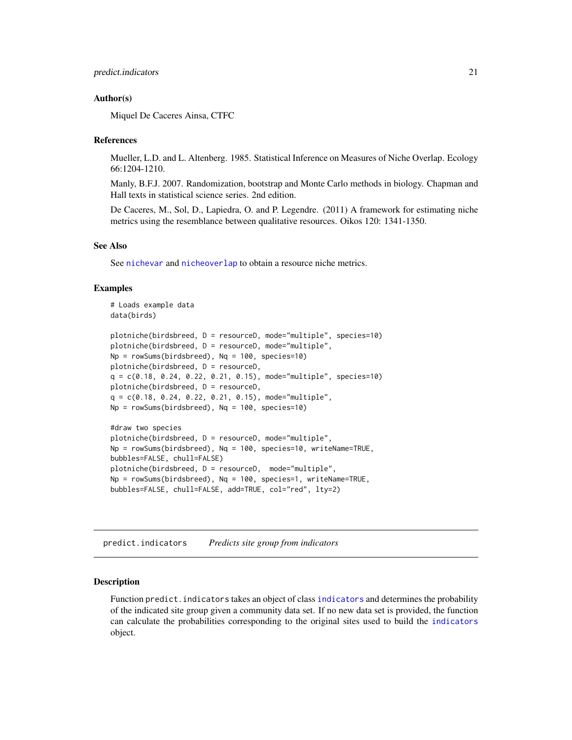#### <span id="page-20-0"></span>Author(s)

Miquel De Caceres Ainsa, CTFC

#### References

Mueller, L.D. and L. Altenberg. 1985. Statistical Inference on Measures of Niche Overlap. Ecology 66:1204-1210.

Manly, B.F.J. 2007. Randomization, bootstrap and Monte Carlo methods in biology. Chapman and Hall texts in statistical science series. 2nd edition.

De Caceres, M., Sol, D., Lapiedra, O. and P. Legendre. (2011) A framework for estimating niche metrics using the resemblance between qualitative resources. Oikos 120: 1341-1350.

# See Also

See [nichevar](#page-15-1) and [nicheoverlap](#page-12-1) to obtain a resource niche metrics.

# Examples

```
# Loads example data
data(birds)
plotniche(birdsbreed, D = resourceD, mode="multiple", species=10)
plotniche(birdsbreed, D = resourceD, mode="multiple",
Np = rowSums(birdsbreed), Nq = 100, species=10)
plotniche(birdsbreed, D = resourceD,
q = c(0.18, 0.24, 0.22, 0.21, 0.15), mode="multiple", species=10)
plotniche(birdsbreed, D = resourceD,
q = c(0.18, 0.24, 0.22, 0.21, 0.15), mode="multiple",
Np = \text{rowSums}(birdsbered), Nq = 100, species=10)
#draw two species
plotniche(birdsbreed, D = resourceD, mode="multiple",
Np = rowSums(birdsbreed), Nq = 100, species=10, writeName=TRUE,
bubbles=FALSE, chull=FALSE)
plotniche(birdsbreed, D = resourceD, mode="multiple",
Np = rowSums(birdsbreed), Nq = 100, species=1, writeName=TRUE,
bubbles=FALSE, chull=FALSE, add=TRUE, col="red", lty=2)
```
<span id="page-20-1"></span>predict.indicators *Predicts site group from indicators*

#### Description

Function predict.indicators takes an object of class [indicators](#page-7-1) and determines the probability of the indicated site group given a community data set. If no new data set is provided, the function can calculate the probabilities corresponding to the original sites used to build the [indicators](#page-7-1) object.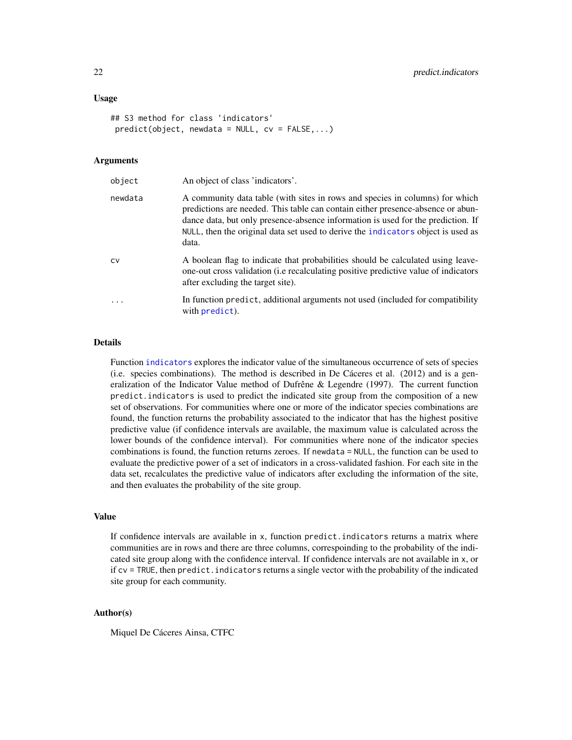#### <span id="page-21-0"></span>Usage

```
## S3 method for class 'indicators'
predict(objject, newdata = NULL, cv = FALSE,...)
```
#### Arguments

| object    | An object of class 'indicators'.                                                                                                                                                                                                                                                                                                                 |
|-----------|--------------------------------------------------------------------------------------------------------------------------------------------------------------------------------------------------------------------------------------------------------------------------------------------------------------------------------------------------|
| newdata   | A community data table (with sites in rows and species in columns) for which<br>predictions are needed. This table can contain either presence-absence or abun-<br>dance data, but only presence-absence information is used for the prediction. If<br>NULL, then the original data set used to derive the indicators object is used as<br>data. |
| <b>CV</b> | A boolean flag to indicate that probabilities should be calculated using leave-<br>one-out cross validation (i.e recalculating positive predictive value of indicators<br>after excluding the target site).                                                                                                                                      |
| .         | In function predict, additional arguments not used (included for compatibility<br>with predict).                                                                                                                                                                                                                                                 |

#### Details

Function [indicators](#page-7-1) explores the indicator value of the simultaneous occurrence of sets of species (i.e. species combinations). The method is described in De Cáceres et al. (2012) and is a generalization of the Indicator Value method of Dufrêne & Legendre (1997). The current function predict.indicators is used to predict the indicated site group from the composition of a new set of observations. For communities where one or more of the indicator species combinations are found, the function returns the probability associated to the indicator that has the highest positive predictive value (if confidence intervals are available, the maximum value is calculated across the lower bounds of the confidence interval). For communities where none of the indicator species combinations is found, the function returns zeroes. If newdata = NULL, the function can be used to evaluate the predictive power of a set of indicators in a cross-validated fashion. For each site in the data set, recalculates the predictive value of indicators after excluding the information of the site, and then evaluates the probability of the site group.

#### Value

If confidence intervals are available in x, function predict.indicators returns a matrix where communities are in rows and there are three columns, correspoinding to the probability of the indicated site group along with the confidence interval. If confidence intervals are not available in x, or if cv = TRUE, then predict.indicators returns a single vector with the probability of the indicated site group for each community.

# Author(s)

Miquel De Cáceres Ainsa, CTFC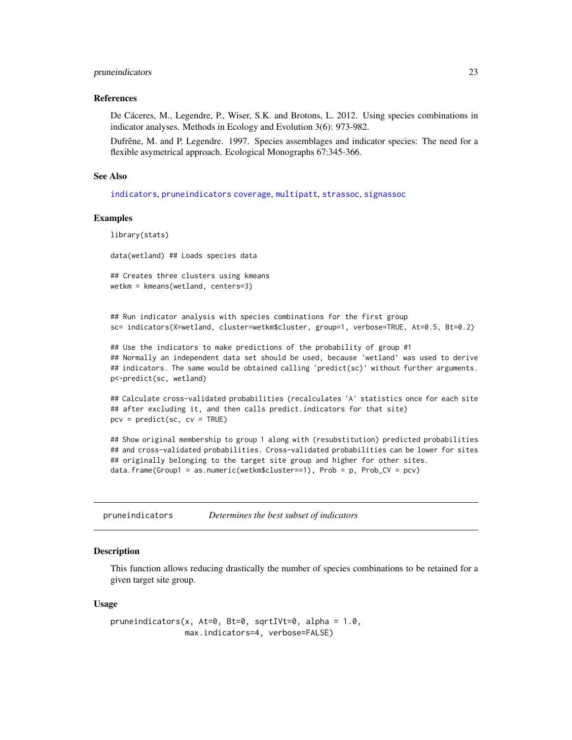#### <span id="page-22-0"></span>pruneindicators 23

#### References

De Cáceres, M., Legendre, P., Wiser, S.K. and Brotons, L. 2012. Using species combinations in indicator analyses. Methods in Ecology and Evolution 3(6): 973-982.

Dufrêne, M. and P. Legendre. 1997. Species assemblages and indicator species: The need for a flexible asymetrical approach. Ecological Monographs 67:345-366.

#### See Also

[indicators](#page-7-1), [pruneindicators](#page-22-1) [coverage](#page-4-1), [multipatt](#page-10-1), [strassoc](#page-26-1), [signassoc](#page-24-1)

#### Examples

library(stats)

data(wetland) ## Loads species data

## Creates three clusters using kmeans wetkm = kmeans(wetland, centers=3)

## Run indicator analysis with species combinations for the first group sc= indicators(X=wetland, cluster=wetkm\$cluster, group=1, verbose=TRUE, At=0.5, Bt=0.2)

## Use the indicators to make predictions of the probability of group #1 ## Normally an independent data set should be used, because 'wetland' was used to derive ## indicators. The same would be obtained calling 'predict(sc)' without further arguments. p<-predict(sc, wetland)

## Calculate cross-validated probabilities (recalculates 'A' statistics once for each site ## after excluding it, and then calls predict.indicators for that site)  $pcv = predict(sc, cv = TRUE)$ 

## Show original membership to group 1 along with (resubstitution) predicted probabilities ## and cross-validated probabilities. Cross-validated probabilities can be lower for sites ## originally belonging to the target site group and higher for other sites. data.frame(Group1 = as.numeric(wetkm\$cluster==1), Prob = p, Prob\_CV = pcv)

<span id="page-22-1"></span>pruneindicators *Determines the best subset of indicators*

#### **Description**

This function allows reducing drastically the number of species combinations to be retained for a given target site group.

#### Usage

pruneindicators(x, At=0, Bt=0, sqrtIVt=0, alpha = 1.0, max.indicators=4, verbose=FALSE)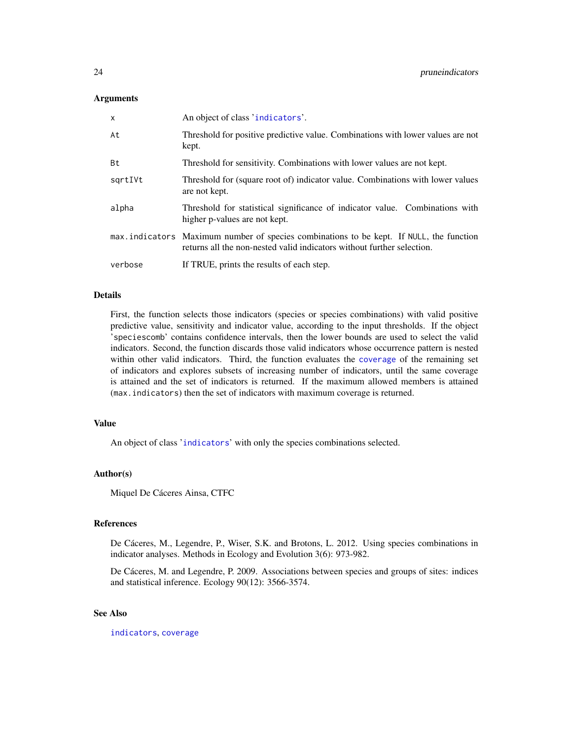# <span id="page-23-0"></span>Arguments

| X       | An object of class 'indicators'.                                                                                                                                  |
|---------|-------------------------------------------------------------------------------------------------------------------------------------------------------------------|
| At      | Threshold for positive predictive value. Combinations with lower values are not<br>kept.                                                                          |
| Bt      | Threshold for sensitivity. Combinations with lower values are not kept.                                                                                           |
| sqrtIVt | Threshold for (square root of) indicator value. Combinations with lower values<br>are not kept.                                                                   |
| alpha   | Threshold for statistical significance of indicator value. Combinations with<br>higher p-values are not kept.                                                     |
|         | max.indicators Maximum number of species combinations to be kept. If NULL, the function<br>returns all the non-nested valid indicators without further selection. |
| verbose | If TRUE, prints the results of each step.                                                                                                                         |

# Details

First, the function selects those indicators (species or species combinations) with valid positive predictive value, sensitivity and indicator value, according to the input thresholds. If the object 'speciescomb' contains confidence intervals, then the lower bounds are used to select the valid indicators. Second, the function discards those valid indicators whose occurrence pattern is nested within other valid indicators. Third, the function evaluates the [coverage](#page-4-1) of the remaining set of indicators and explores subsets of increasing number of indicators, until the same coverage is attained and the set of indicators is returned. If the maximum allowed members is attained (max.indicators) then the set of indicators with maximum coverage is returned.

#### Value

An object of class '[indicators](#page-7-1)' with only the species combinations selected.

#### Author(s)

Miquel De Cáceres Ainsa, CTFC

#### References

De Cáceres, M., Legendre, P., Wiser, S.K. and Brotons, L. 2012. Using species combinations in indicator analyses. Methods in Ecology and Evolution 3(6): 973-982.

De Cáceres, M. and Legendre, P. 2009. Associations between species and groups of sites: indices and statistical inference. Ecology 90(12): 3566-3574.

# See Also

[indicators](#page-7-1), [coverage](#page-4-1)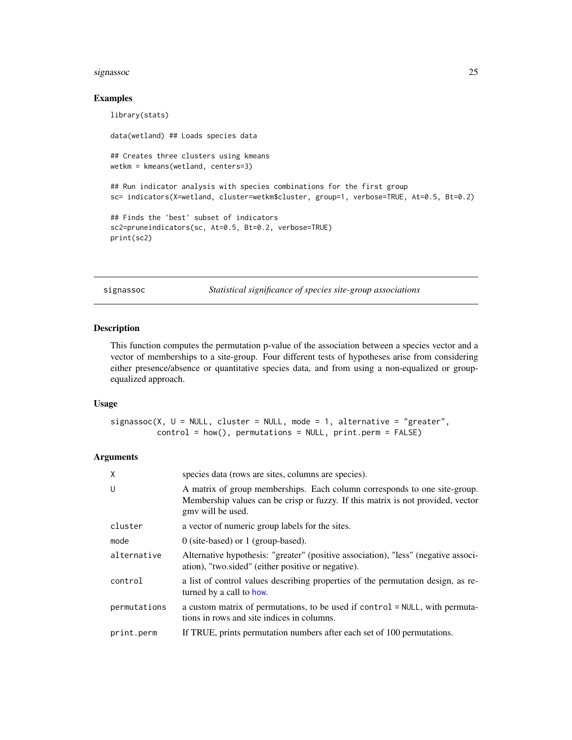#### <span id="page-24-0"></span>signassoc 25

#### Examples

library(stats) data(wetland) ## Loads species data ## Creates three clusters using kmeans wetkm = kmeans(wetland, centers=3) ## Run indicator analysis with species combinations for the first group sc= indicators(X=wetland, cluster=wetkm\$cluster, group=1, verbose=TRUE, At=0.5, Bt=0.2) ## Finds the 'best' subset of indicators sc2=pruneindicators(sc, At=0.5, Bt=0.2, verbose=TRUE) print(sc2)

<span id="page-24-1"></span>signassoc *Statistical significance of species site-group associations*

# Description

This function computes the permutation p-value of the association between a species vector and a vector of memberships to a site-group. Four different tests of hypotheses arise from considering either presence/absence or quantitative species data, and from using a non-equalized or groupequalized approach.

# Usage

 $signassoc(X, U = NULL, cluster = NULL, mode = 1, alternative = "greater",$ control = how(), permutations = NULL, print.perm = FALSE)

# Arguments

| X            | species data (rows are sites, columns are species).                                                                                                                               |
|--------------|-----------------------------------------------------------------------------------------------------------------------------------------------------------------------------------|
| U            | A matrix of group memberships. Each column corresponds to one site-group.<br>Membership values can be crisp or fuzzy. If this matrix is not provided, vector<br>gmy will be used. |
| cluster      | a vector of numeric group labels for the sites.                                                                                                                                   |
| mode         | $0$ (site-based) or 1 (group-based).                                                                                                                                              |
| alternative  | Alternative hypothesis: "greater" (positive association), "less" (negative associ-<br>ation), "two.sided" (either positive or negative).                                          |
| control      | a list of control values describing properties of the permutation design, as re-<br>turned by a call to how.                                                                      |
| permutations | a custom matrix of permutations, to be used if control = NULL, with permuta-<br>tions in rows and site indices in columns.                                                        |
| print.perm   | If TRUE, prints permutation numbers after each set of 100 permutations.                                                                                                           |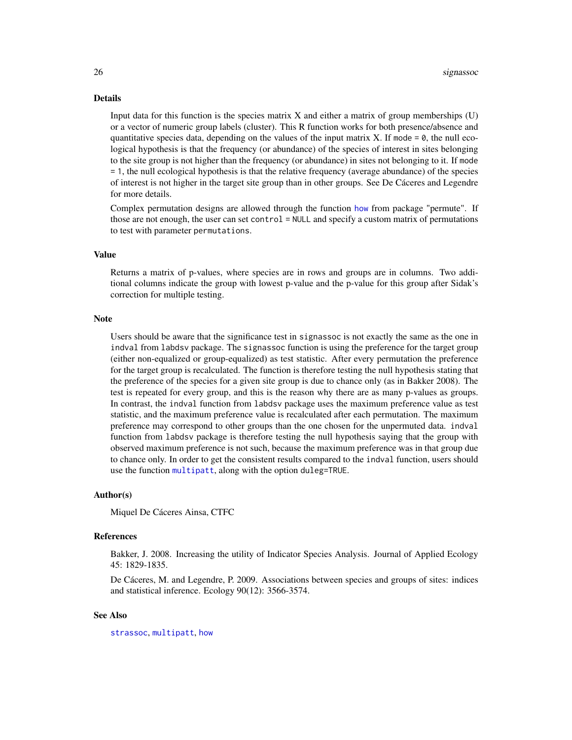#### <span id="page-25-0"></span>Details

Input data for this function is the species matrix X and either a matrix of group memberships  $(U)$ or a vector of numeric group labels (cluster). This R function works for both presence/absence and quantitative species data, depending on the values of the input matrix X. If mode  $= 0$ , the null ecological hypothesis is that the frequency (or abundance) of the species of interest in sites belonging to the site group is not higher than the frequency (or abundance) in sites not belonging to it. If mode = 1, the null ecological hypothesis is that the relative frequency (average abundance) of the species of interest is not higher in the target site group than in other groups. See De Cáceres and Legendre for more details.

Complex permutation designs are allowed through the function [how](#page-0-0) from package "permute". If those are not enough, the user can set control = NULL and specify a custom matrix of permutations to test with parameter permutations.

#### Value

Returns a matrix of p-values, where species are in rows and groups are in columns. Two additional columns indicate the group with lowest p-value and the p-value for this group after Sidak's correction for multiple testing.

#### Note

Users should be aware that the significance test in signassoc is not exactly the same as the one in indval from labdsv package. The signassoc function is using the preference for the target group (either non-equalized or group-equalized) as test statistic. After every permutation the preference for the target group is recalculated. The function is therefore testing the null hypothesis stating that the preference of the species for a given site group is due to chance only (as in Bakker 2008). The test is repeated for every group, and this is the reason why there are as many p-values as groups. In contrast, the indval function from labdsv package uses the maximum preference value as test statistic, and the maximum preference value is recalculated after each permutation. The maximum preference may correspond to other groups than the one chosen for the unpermuted data. indval function from labdsv package is therefore testing the null hypothesis saying that the group with observed maximum preference is not such, because the maximum preference was in that group due to chance only. In order to get the consistent results compared to the indval function, users should use the function [multipatt](#page-10-1), along with the option duleg=TRUE.

#### Author(s)

Miquel De Cáceres Ainsa, CTFC

#### References

Bakker, J. 2008. Increasing the utility of Indicator Species Analysis. Journal of Applied Ecology 45: 1829-1835.

De Cáceres, M. and Legendre, P. 2009. Associations between species and groups of sites: indices and statistical inference. Ecology 90(12): 3566-3574.

# See Also

[strassoc](#page-26-1), [multipatt](#page-10-1), [how](#page-0-0)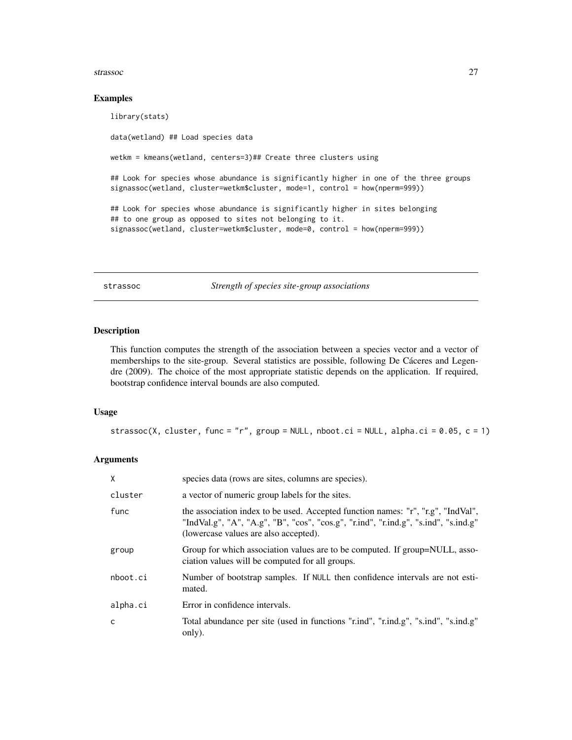#### <span id="page-26-0"></span>strassoc 27

#### Examples

library(stats) data(wetland) ## Load species data wetkm = kmeans(wetland, centers=3)## Create three clusters using ## Look for species whose abundance is significantly higher in one of the three groups signassoc(wetland, cluster=wetkm\$cluster, mode=1, control = how(nperm=999)) ## Look for species whose abundance is significantly higher in sites belonging ## to one group as opposed to sites not belonging to it. signassoc(wetland, cluster=wetkm\$cluster, mode=0, control = how(nperm=999))

<span id="page-26-1"></span>strassoc *Strength of species site-group associations*

#### Description

This function computes the strength of the association between a species vector and a vector of memberships to the site-group. Several statistics are possible, following De Cáceres and Legendre (2009). The choice of the most appropriate statistic depends on the application. If required, bootstrap confidence interval bounds are also computed.

#### Usage

strassoc(X, cluster, func = "r", group = NULL, nboot.ci = NULL, alpha.ci = 0.05, c = 1)

# Arguments

| X        | species data (rows are sites, columns are species).                                                                                                                                                              |
|----------|------------------------------------------------------------------------------------------------------------------------------------------------------------------------------------------------------------------|
| cluster  | a vector of numeric group labels for the sites.                                                                                                                                                                  |
| func     | the association index to be used. Accepted function names: "r", "r.g", "IndVal",<br>"IndVal.g", "A", "A.g", "B", "cos", "cos.g", "r.ind", "r.ind.g", "s.ind", "s.ind.g"<br>(lowercase values are also accepted). |
| group    | Group for which association values are to be computed. If group=NULL, asso-<br>ciation values will be computed for all groups.                                                                                   |
| nboot.ci | Number of bootstrap samples. If NULL then confidence intervals are not esti-<br>mated.                                                                                                                           |
| alpha.ci | Error in confidence intervals.                                                                                                                                                                                   |
| C        | Total abundance per site (used in functions "r.ind", "r.ind.g", "s.ind", "s.ind.g"<br>only).                                                                                                                     |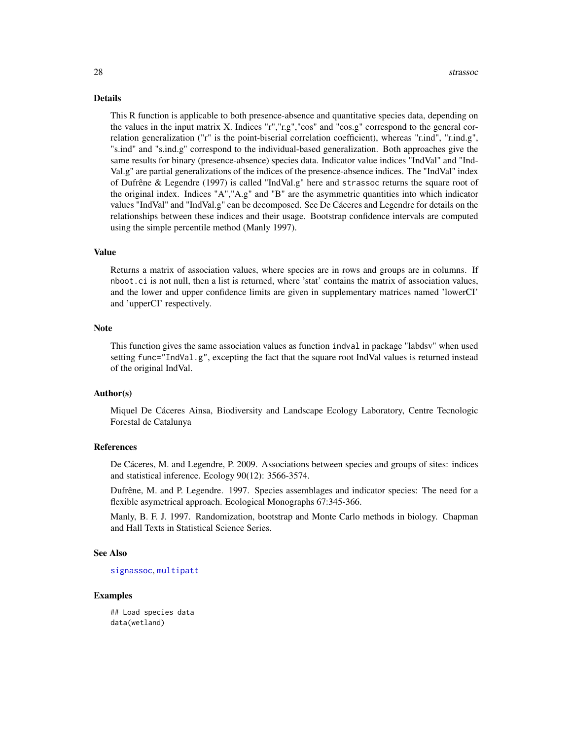<span id="page-27-0"></span>Details

This R function is applicable to both presence-absence and quantitative species data, depending on the values in the input matrix X. Indices "r","r.g","cos" and "cos.g" correspond to the general correlation generalization ("r" is the point-biserial correlation coefficient), whereas "r.ind", "r.ind.g", "s.ind" and "s.ind.g" correspond to the individual-based generalization. Both approaches give the same results for binary (presence-absence) species data. Indicator value indices "IndVal" and "Ind-Val.g" are partial generalizations of the indices of the presence-absence indices. The "IndVal" index of Dufrêne & Legendre (1997) is called "IndVal.g" here and strassoc returns the square root of the original index. Indices "A","A.g" and "B" are the asymmetric quantities into which indicator values "IndVal" and "IndVal.g" can be decomposed. See De Cáceres and Legendre for details on the relationships between these indices and their usage. Bootstrap confidence intervals are computed using the simple percentile method (Manly 1997).

#### Value

Returns a matrix of association values, where species are in rows and groups are in columns. If nboot.ci is not null, then a list is returned, where 'stat' contains the matrix of association values, and the lower and upper confidence limits are given in supplementary matrices named 'lowerCI' and 'upperCI' respectively.

#### **Note**

This function gives the same association values as function indval in package "labdsv" when used setting func="IndVal.g", excepting the fact that the square root IndVal values is returned instead of the original IndVal.

#### Author(s)

Miquel De Cáceres Ainsa, Biodiversity and Landscape Ecology Laboratory, Centre Tecnologic Forestal de Catalunya

## References

De Cáceres, M. and Legendre, P. 2009. Associations between species and groups of sites: indices and statistical inference. Ecology 90(12): 3566-3574.

Dufrêne, M. and P. Legendre. 1997. Species assemblages and indicator species: The need for a flexible asymetrical approach. Ecological Monographs 67:345-366.

Manly, B. F. J. 1997. Randomization, bootstrap and Monte Carlo methods in biology. Chapman and Hall Texts in Statistical Science Series.

# See Also

#### [signassoc](#page-24-1), [multipatt](#page-10-1)

#### Examples

## Load species data data(wetland)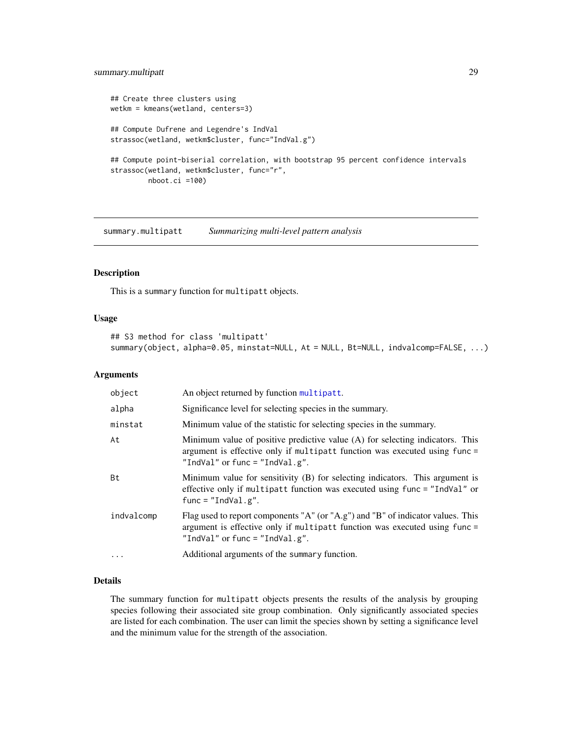# <span id="page-28-0"></span>summary.multipatt 29

```
## Create three clusters using
wetkm = kmeans(wetland, centers=3)
## Compute Dufrene and Legendre's IndVal
strassoc(wetland, wetkm$cluster, func="IndVal.g")
## Compute point-biserial correlation, with bootstrap 95 percent confidence intervals
strassoc(wetland, wetkm$cluster, func="r",
        nboot.ci =100)
```
<span id="page-28-1"></span>summary.multipatt *Summarizing multi-level pattern analysis*

# Description

This is a summary function for multipatt objects.

# Usage

```
## S3 method for class 'multipatt'
summary(object, alpha=0.05, minstat=NULL, At = NULL, Bt=NULL, indvalcomp=FALSE, ...)
```
# Arguments

| object     | An object returned by function multipatt.                                                                                                                                                      |
|------------|------------------------------------------------------------------------------------------------------------------------------------------------------------------------------------------------|
| alpha      | Significance level for selecting species in the summary.                                                                                                                                       |
| minstat    | Minimum value of the statistic for selecting species in the summary.                                                                                                                           |
| At         | Minimum value of positive predictive value (A) for selecting indicators. This<br>argument is effective only if multipatt function was executed using func=<br>"IndVal" or func = "IndVal.g".   |
| Bt         | Minimum value for sensitivity (B) for selecting indicators. This argument is<br>effective only if multipatt function was executed using func = "IndVal" or<br>$func = "IndVal.g".$             |
| indvalcomp | Flag used to report components "A" (or "A.g") and "B" of indicator values. This<br>argument is effective only if multipatt function was executed using func=<br>"IndVal" or func = "IndVal.g". |
| $\cdots$   | Additional arguments of the summary function.                                                                                                                                                  |
|            |                                                                                                                                                                                                |

# Details

The summary function for multipatt objects presents the results of the analysis by grouping species following their associated site group combination. Only significantly associated species are listed for each combination. The user can limit the species shown by setting a significance level and the minimum value for the strength of the association.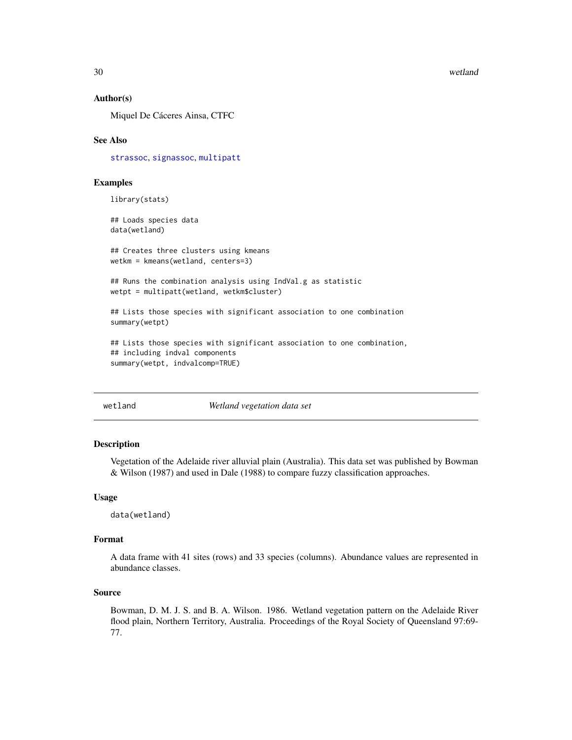<span id="page-29-0"></span>30 wetland

#### Author(s)

Miquel De Cáceres Ainsa, CTFC

# See Also

[strassoc](#page-26-1), [signassoc](#page-24-1), [multipatt](#page-10-1)

# Examples

library(stats)

## Loads species data data(wetland)

## Creates three clusters using kmeans wetkm = kmeans(wetland, centers=3)

## Runs the combination analysis using IndVal.g as statistic wetpt = multipatt(wetland, wetkm\$cluster)

## Lists those species with significant association to one combination summary(wetpt)

## Lists those species with significant association to one combination, ## including indval components summary(wetpt, indvalcomp=TRUE)

wetland *Wetland vegetation data set*

#### Description

Vegetation of the Adelaide river alluvial plain (Australia). This data set was published by Bowman & Wilson (1987) and used in Dale (1988) to compare fuzzy classification approaches.

#### Usage

data(wetland)

# Format

A data frame with 41 sites (rows) and 33 species (columns). Abundance values are represented in abundance classes.

# Source

Bowman, D. M. J. S. and B. A. Wilson. 1986. Wetland vegetation pattern on the Adelaide River flood plain, Northern Territory, Australia. Proceedings of the Royal Society of Queensland 97:69- 77.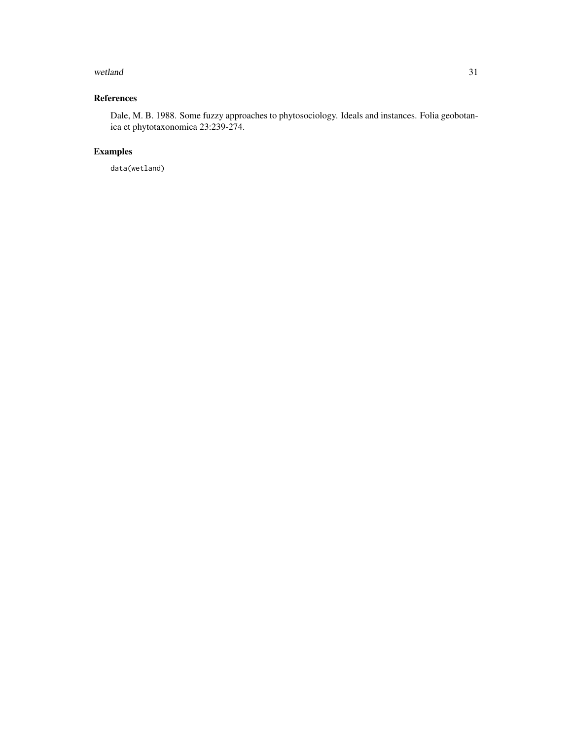#### wetland 31

# References

Dale, M. B. 1988. Some fuzzy approaches to phytosociology. Ideals and instances. Folia geobotanica et phytotaxonomica 23:239-274.

# Examples

data(wetland)